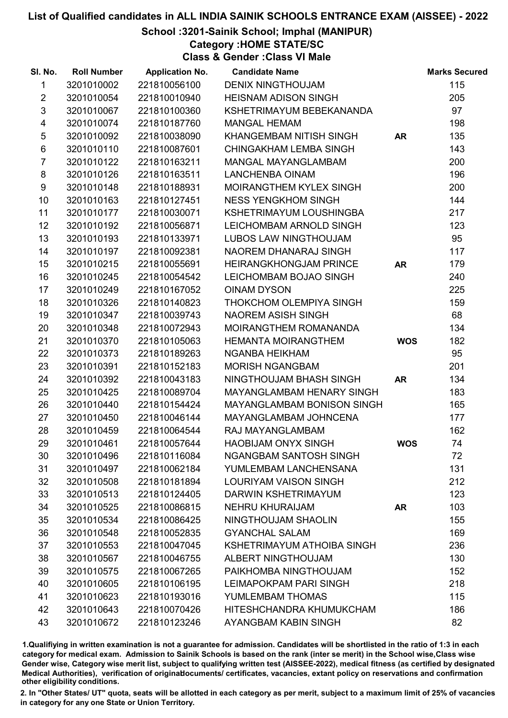School :3201-Sainik School; Imphal (MANIPUR)

Category :HOME STATE/SC

Class & Gender :Class VI Male

| SI. No.        | <b>Roll Number</b> | <b>Application No.</b> | <b>Candidate Name</b>            |            | <b>Marks Secured</b> |
|----------------|--------------------|------------------------|----------------------------------|------------|----------------------|
| 1              | 3201010002         | 221810056100           | <b>DENIX NINGTHOUJAM</b>         |            | 115                  |
| $\overline{2}$ | 3201010054         | 221810010940           | <b>HEISNAM ADISON SINGH</b>      |            | 205                  |
| $\mathfrak{S}$ | 3201010067         | 221810100360           | KSHETRIMAYUM BEBEKANANDA         |            | 97                   |
| 4              | 3201010074         | 221810187760           | <b>MANGAL HEMAM</b>              |            | 198                  |
| $\sqrt{5}$     | 3201010092         | 221810038090           | KHANGEMBAM NITISH SINGH          | <b>AR</b>  | 135                  |
| 6              | 3201010110         | 221810087601           | <b>CHINGAKHAM LEMBA SINGH</b>    |            | 143                  |
| $\overline{7}$ | 3201010122         | 221810163211           | MANGAL MAYANGLAMBAM              |            | 200                  |
| 8              | 3201010126         | 221810163511           | <b>LANCHENBA OINAM</b>           |            | 196                  |
| 9              | 3201010148         | 221810188931           | MOIRANGTHEM KYLEX SINGH          |            | 200                  |
| 10             | 3201010163         | 221810127451           | <b>NESS YENGKHOM SINGH</b>       |            | 144                  |
| 11             | 3201010177         | 221810030071           | KSHETRIMAYUM LOUSHINGBA          |            | 217                  |
| 12             | 3201010192         | 221810056871           | LEICHOMBAM ARNOLD SINGH          |            | 123                  |
| 13             | 3201010193         | 221810133971           | LUBOS LAW NINGTHOUJAM            |            | 95                   |
| 14             | 3201010197         | 221810092381           | NAOREM DHANARAJ SINGH            |            | 117                  |
| 15             | 3201010215         | 221810055691           | <b>HEIRANGKHONGJAM PRINCE</b>    | <b>AR</b>  | 179                  |
| 16             | 3201010245         | 221810054542           | LEICHOMBAM BOJAO SINGH           |            | 240                  |
| 17             | 3201010249         | 221810167052           | <b>OINAM DYSON</b>               |            | 225                  |
| 18             | 3201010326         | 221810140823           | THOKCHOM OLEMPIYA SINGH          |            | 159                  |
| 19             | 3201010347         | 221810039743           | <b>NAOREM ASISH SINGH</b>        |            | 68                   |
| 20             | 3201010348         | 221810072943           | MOIRANGTHEM ROMANANDA            |            | 134                  |
| 21             | 3201010370         | 221810105063           | <b>HEMANTA MOIRANGTHEM</b>       | <b>WOS</b> | 182                  |
| 22             | 3201010373         | 221810189263           | <b>NGANBA HEIKHAM</b>            |            | 95                   |
| 23             | 3201010391         | 221810152183           | <b>MORISH NGANGBAM</b>           |            | 201                  |
| 24             | 3201010392         | 221810043183           | NINGTHOUJAM BHASH SINGH          | <b>AR</b>  | 134                  |
| 25             | 3201010425         | 221810089704           | <b>MAYANGLAMBAM HENARY SINGH</b> |            | 183                  |
| 26             | 3201010440         | 221810154424           | MAYANGLAMBAM BONISON SINGH       |            | 165                  |
| 27             | 3201010450         | 221810046144           | <b>MAYANGLAMBAM JOHNCENA</b>     |            | 177                  |
| 28             | 3201010459         | 221810064544           | RAJ MAYANGLAMBAM                 |            | 162                  |
| 29             | 3201010461         | 221810057644           | <b>HAOBIJAM ONYX SINGH</b>       | <b>WOS</b> | 74                   |
| 30             | 3201010496         | 221810116084           | <b>NGANGBAM SANTOSH SINGH</b>    |            | 72                   |
| 31             | 3201010497         | 221810062184           | YUMLEMBAM LANCHENSANA            |            | 131                  |
| 32             | 3201010508         | 221810181894           | <b>LOURIYAM VAISON SINGH</b>     |            | 212                  |
| 33             | 3201010513         | 221810124405           | DARWIN KSHETRIMAYUM              |            | 123                  |
| 34             | 3201010525         | 221810086815           | <b>NEHRU KHURAIJAM</b>           | AR         | 103                  |
| 35             | 3201010534         | 221810086425           | NINGTHOUJAM SHAOLIN              |            | 155                  |
| 36             | 3201010548         | 221810052835           | <b>GYANCHAL SALAM</b>            |            | 169                  |
| 37             | 3201010553         | 221810047045           | KSHETRIMAYUM ATHOIBA SINGH       |            | 236                  |
| 38             | 3201010567         | 221810046755           | <b>ALBERT NINGTHOUJAM</b>        |            | 130                  |
| 39             | 3201010575         | 221810067265           | PAIKHOMBA NINGTHOUJAM            |            | 152                  |
| 40             | 3201010605         | 221810106195           | LEIMAPOKPAM PARI SINGH           |            | 218                  |
| 41             | 3201010623         | 221810193016           | YUMLEMBAM THOMAS                 |            | 115                  |
| 42             | 3201010643         | 221810070426           | HITESHCHANDRA KHUMUKCHAM         |            | 186                  |
| 43             | 3201010672         | 221810123246           | AYANGBAM KABIN SINGH             |            | 82                   |

1.Qualifiying in written examination is not a guarantee for admission. Candidates will be shortlisted in the ratio of 1:3 in each category for medical exam. Admission to Sainik Schools is based on the rank (inter se merit) in the School wise,Class wise Gender wise, Category wise merit list, subject to qualifying written test (AISSEE-2022), medical fitness (as certified by designated Medical Authorities), verification of originablocuments/ certificates, vacancies, extant policy on reservations and confirmation other eligibility conditions.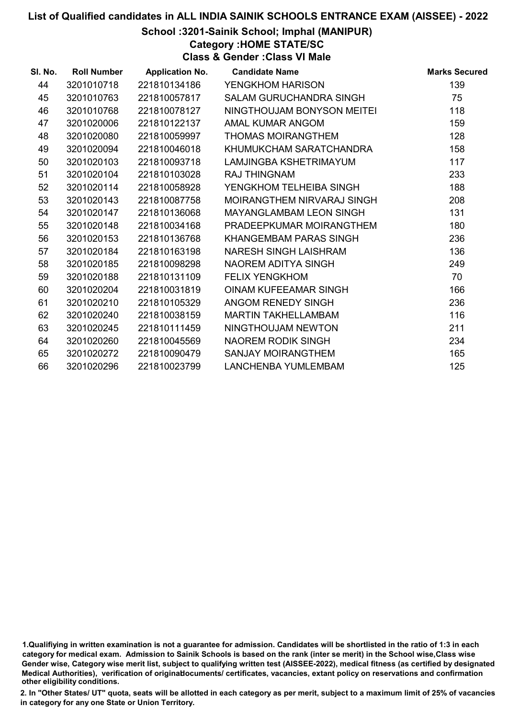#### School :3201-Sainik School; Imphal (MANIPUR)

Category :HOME STATE/SC

Class & Gender :Class VI Male

| SI. No. | <b>Roll Number</b> | <b>Application No.</b> | <b>Candidate Name</b>          | <b>Marks Secured</b> |
|---------|--------------------|------------------------|--------------------------------|----------------------|
| 44      | 3201010718         | 221810134186           | YENGKHOM HARISON               | 139                  |
| 45      | 3201010763         | 221810057817           | SALAM GURUCHANDRA SINGH        | 75                   |
| 46      | 3201010768         | 221810078127           | NINGTHOUJAM BONYSON MEITEI     | 118                  |
| 47      | 3201020006         | 221810122137           | AMAL KUMAR ANGOM               | 159                  |
| 48      | 3201020080         | 221810059997           | <b>THOMAS MOIRANGTHEM</b>      | 128                  |
| 49      | 3201020094         | 221810046018           | KHUMUKCHAM SARATCHANDRA        | 158                  |
| 50      | 3201020103         | 221810093718           | LAMJINGBA KSHETRIMAYUM         | 117                  |
| 51      | 3201020104         | 221810103028           | <b>RAJ THINGNAM</b>            | 233                  |
| 52      | 3201020114         | 221810058928           | YENGKHOM TELHEIBA SINGH        | 188                  |
| 53      | 3201020143         | 221810087758           | MOIRANGTHEM NIRVARAJ SINGH     | 208                  |
| 54      | 3201020147         | 221810136068           | <b>MAYANGLAMBAM LEON SINGH</b> | 131                  |
| 55      | 3201020148         | 221810034168           | PRADEEPKUMAR MOIRANGTHEM       | 180                  |
| 56      | 3201020153         | 221810136768           | KHANGEMBAM PARAS SINGH         | 236                  |
| 57      | 3201020184         | 221810163198           | NARESH SINGH LAISHRAM          | 136                  |
| 58      | 3201020185         | 221810098298           | NAOREM ADITYA SINGH            | 249                  |
| 59      | 3201020188         | 221810131109           | <b>FELIX YENGKHOM</b>          | 70                   |
| 60      | 3201020204         | 221810031819           | OINAM KUFEEAMAR SINGH          | 166                  |
| 61      | 3201020210         | 221810105329           | ANGOM RENEDY SINGH             | 236                  |
| 62      | 3201020240         | 221810038159           | <b>MARTIN TAKHELLAMBAM</b>     | 116                  |
| 63      | 3201020245         | 221810111459           | NINGTHOUJAM NEWTON             | 211                  |
| 64      | 3201020260         | 221810045569           | NAOREM RODIK SINGH             | 234                  |
| 65      | 3201020272         | 221810090479           | <b>SANJAY MOIRANGTHEM</b>      | 165                  |
| 66      | 3201020296         | 221810023799           | LANCHENBA YUMLEMBAM            | 125                  |

<sup>1.</sup>Qualifiying in written examination is not a guarantee for admission. Candidates will be shortlisted in the ratio of 1:3 in each category for medical exam. Admission to Sainik Schools is based on the rank (inter se merit) in the School wise,Class wise Gender wise, Category wise merit list, subject to qualifying written test (AISSEE-2022), medical fitness (as certified by designated Medical Authorities), verification of originablocuments/ certificates, vacancies, extant policy on reservations and confirmation other eligibility conditions.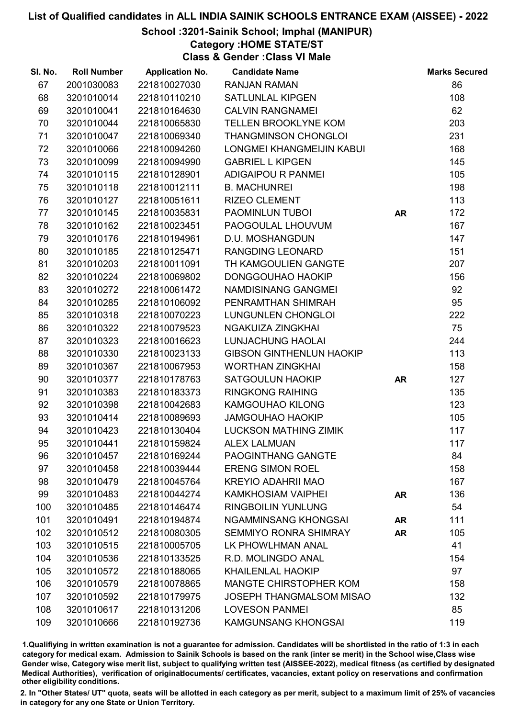#### School :3201-Sainik School; Imphal (MANIPUR)

Category :HOME STATE/ST

Class & Gender :Class VI Male

| SI. No. | <b>Roll Number</b> | <b>Application No.</b> | <b>Candidate Name</b>           |           | <b>Marks Secured</b> |
|---------|--------------------|------------------------|---------------------------------|-----------|----------------------|
| 67      | 2001030083         | 221810027030           | <b>RANJAN RAMAN</b>             |           | 86                   |
| 68      | 3201010014         | 221810110210           | <b>SATLUNLAL KIPGEN</b>         |           | 108                  |
| 69      | 3201010041         | 221810164630           | <b>CALVIN RANGNAMEI</b>         |           | 62                   |
| 70      | 3201010044         | 221810065830           | <b>TELLEN BROOKLYNE KOM</b>     |           | 203                  |
| 71      | 3201010047         | 221810069340           | <b>THANGMINSON CHONGLOI</b>     |           | 231                  |
| 72      | 3201010066         | 221810094260           | LONGMEI KHANGMEIJIN KABUI       |           | 168                  |
| 73      | 3201010099         | 221810094990           | <b>GABRIEL L KIPGEN</b>         |           | 145                  |
| 74      | 3201010115         | 221810128901           | <b>ADIGAIPOU R PANMEI</b>       |           | 105                  |
| 75      | 3201010118         | 221810012111           | <b>B. MACHUNREI</b>             |           | 198                  |
| 76      | 3201010127         | 221810051611           | <b>RIZEO CLEMENT</b>            |           | 113                  |
| 77      | 3201010145         | 221810035831           | PAOMINLUN TUBOI                 | <b>AR</b> | 172                  |
| 78      | 3201010162         | 221810023451           | PAOGOULAL LHOUVUM               |           | 167                  |
| 79      | 3201010176         | 221810194961           | D.U. MOSHANGDUN                 |           | 147                  |
| 80      | 3201010185         | 221810125471           | <b>RANGDING LEONARD</b>         |           | 151                  |
| 81      | 3201010203         | 221810011091           | TH KAMGOULIEN GANGTE            |           | 207                  |
| 82      | 3201010224         | 221810069802           | DONGGOUHAO HAOKIP               |           | 156                  |
| 83      | 3201010272         | 221810061472           | NAMDISINANG GANGMEI             |           | 92                   |
| 84      | 3201010285         | 221810106092           | PENRAMTHAN SHIMRAH              |           | 95                   |
| 85      | 3201010318         | 221810070223           | LUNGUNLEN CHONGLOI              |           | 222                  |
| 86      | 3201010322         | 221810079523           | <b>NGAKUIZA ZINGKHAI</b>        |           | 75                   |
| 87      | 3201010323         | 221810016623           | <b>LUNJACHUNG HAOLAI</b>        |           | 244                  |
| 88      | 3201010330         | 221810023133           | <b>GIBSON GINTHENLUN HAOKIP</b> |           | 113                  |
| 89      | 3201010367         | 221810067953           | <b>WORTHAN ZINGKHAI</b>         |           | 158                  |
| 90      | 3201010377         | 221810178763           | <b>SATGOULUN HAOKIP</b>         | <b>AR</b> | 127                  |
| 91      | 3201010383         | 221810183373           | <b>RINGKONG RAIHING</b>         |           | 135                  |
| 92      | 3201010398         | 221810042683           | <b>KAMGOUHAO KILONG</b>         |           | 123                  |
| 93      | 3201010414         | 221810089693           | <b>JAMGOUHAO HAOKIP</b>         |           | 105                  |
| 94      | 3201010423         | 221810130404           | <b>LUCKSON MATHING ZIMIK</b>    |           | 117                  |
| 95      | 3201010441         | 221810159824           | <b>ALEX LALMUAN</b>             |           | 117                  |
| 96      | 3201010457         | 221810169244           | <b>PAOGINTHANG GANGTE</b>       |           | 84                   |
| 97      | 3201010458         | 221810039444           | <b>ERENG SIMON ROEL</b>         |           | 158                  |
| 98      | 3201010479         | 221810045764           | <b>KREYIO ADAHRII MAO</b>       |           | 167                  |
| 99      | 3201010483         | 221810044274           | <b>KAMKHOSIAM VAIPHEI</b>       | <b>AR</b> | 136                  |
| 100     | 3201010485         | 221810146474           | <b>RINGBOILIN YUNLUNG</b>       |           | 54                   |
| 101     | 3201010491         | 221810194874           | <b>NGAMMINSANG KHONGSAI</b>     | <b>AR</b> | 111                  |
| 102     | 3201010512         | 221810080305           | <b>SEMMIYO RONRA SHIMRAY</b>    | <b>AR</b> | 105                  |
| 103     | 3201010515         | 221810005705           | LK PHOWLHMAN ANAL               |           | 41                   |
| 104     | 3201010536         | 221810133525           | R.D. MOLINGDO ANAL              |           | 154                  |
| 105     | 3201010572         | 221810188065           | <b>KHAILENLAL HAOKIP</b>        |           | 97                   |
| 106     | 3201010579         | 221810078865           | <b>MANGTE CHIRSTOPHER KOM</b>   |           | 158                  |
| 107     | 3201010592         | 221810179975           | <b>JOSEPH THANGMALSOM MISAO</b> |           | 132                  |
| 108     | 3201010617         | 221810131206           | <b>LOVESON PANMEI</b>           |           | 85                   |
| 109     | 3201010666         | 221810192736           | <b>KAMGUNSANG KHONGSAI</b>      |           | 119                  |

1.Qualifiying in written examination is not a guarantee for admission. Candidates will be shortlisted in the ratio of 1:3 in each category for medical exam. Admission to Sainik Schools is based on the rank (inter se merit) in the School wise,Class wise Gender wise, Category wise merit list, subject to qualifying written test (AISSEE-2022), medical fitness (as certified by designated Medical Authorities), verification of originablocuments/ certificates, vacancies, extant policy on reservations and confirmation other eligibility conditions.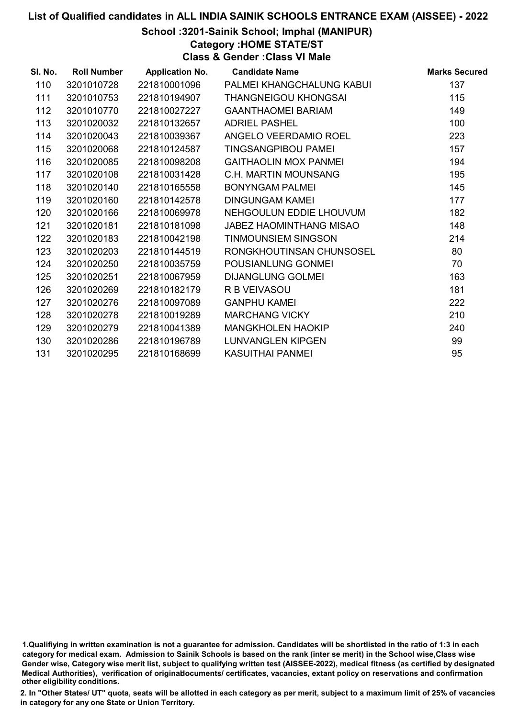School :3201-Sainik School; Imphal (MANIPUR)

Category :HOME STATE/ST

Class & Gender :Class VI Male

| SI. No. | <b>Roll Number</b> | <b>Application No.</b> | <b>Candidate Name</b>          | <b>Marks Secured</b> |
|---------|--------------------|------------------------|--------------------------------|----------------------|
| 110     | 3201010728         | 221810001096           | PALMEI KHANGCHALUNG KABUI      | 137                  |
| 111     | 3201010753         | 221810194907           | <b>THANGNEIGOU KHONGSAI</b>    | 115                  |
| 112     | 3201010770         | 221810027227           | <b>GAANTHAOMEI BARIAM</b>      | 149                  |
| 113     | 3201020032         | 221810132657           | <b>ADRIEL PASHEL</b>           | 100                  |
| 114     | 3201020043         | 221810039367           | ANGELO VEERDAMIO ROEL          | 223                  |
| 115     | 3201020068         | 221810124587           | <b>TINGSANGPIBOU PAMEI</b>     | 157                  |
| 116     | 3201020085         | 221810098208           | <b>GAITHAOLIN MOX PANMEL</b>   | 194                  |
| 117     | 3201020108         | 221810031428           | C.H. MARTIN MOUNSANG           | 195                  |
| 118     | 3201020140         | 221810165558           | <b>BONYNGAM PALMEI</b>         | 145                  |
| 119     | 3201020160         | 221810142578           | <b>DINGUNGAM KAMEL</b>         | 177                  |
| 120     | 3201020166         | 221810069978           | NEHGOULUN EDDIE LHOUVUM        | 182                  |
| 121     | 3201020181         | 221810181098           | <b>JABEZ HAOMINTHANG MISAO</b> | 148                  |
| 122     | 3201020183         | 221810042198           | <b>TINMOUNSIEM SINGSON</b>     | 214                  |
| 123     | 3201020203         | 221810144519           | RONGKHOUTINSAN CHUNSOSEL       | 80                   |
| 124     | 3201020250         | 221810035759           | POUSIANLUNG GONMEI             | 70                   |
| 125     | 3201020251         | 221810067959           | <b>DIJANGLUNG GOLMEI</b>       | 163                  |
| 126     | 3201020269         | 221810182179           | R B VEIVASOU                   | 181                  |
| 127     | 3201020276         | 221810097089           | <b>GANPHU KAMEI</b>            | 222                  |
| 128     | 3201020278         | 221810019289           | <b>MARCHANG VICKY</b>          | 210                  |
| 129     | 3201020279         | 221810041389           | <b>MANGKHOLEN HAOKIP</b>       | 240                  |
| 130     | 3201020286         | 221810196789           | <b>LUNVANGLEN KIPGEN</b>       | 99                   |
| 131     | 3201020295         | 221810168699           | <b>KASUITHAI PANMEI</b>        | 95                   |
|         |                    |                        |                                |                      |

<sup>1.</sup>Qualifiying in written examination is not a guarantee for admission. Candidates will be shortlisted in the ratio of 1:3 in each category for medical exam. Admission to Sainik Schools is based on the rank (inter se merit) in the School wise,Class wise Gender wise, Category wise merit list, subject to qualifying written test (AISSEE-2022), medical fitness (as certified by designated Medical Authorities), verification of originablocuments/ certificates, vacancies, extant policy on reservations and confirmation other eligibility conditions.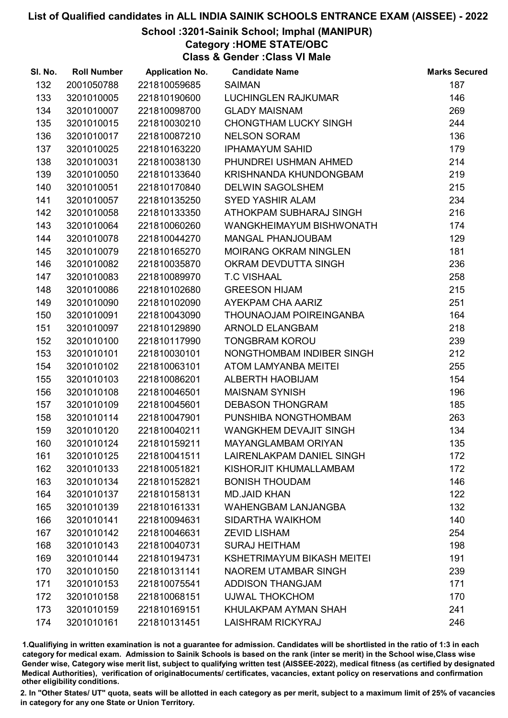#### School :3201-Sainik School; Imphal (MANIPUR)

Category :HOME STATE/OBC

Class & Gender :Class VI Male

| SI. No. | <b>Roll Number</b> | <b>Application No.</b> | <b>Candidate Name</b>             | <b>Marks Secured</b> |
|---------|--------------------|------------------------|-----------------------------------|----------------------|
| 132     | 2001050788         | 221810059685           | <b>SAIMAN</b>                     | 187                  |
| 133     | 3201010005         | 221810190600           | <b>LUCHINGLEN RAJKUMAR</b>        | 146                  |
| 134     | 3201010007         | 221810098700           | <b>GLADY MAISNAM</b>              | 269                  |
| 135     | 3201010015         | 221810030210           | <b>CHONGTHAM LUCKY SINGH</b>      | 244                  |
| 136     | 3201010017         | 221810087210           | <b>NELSON SORAM</b>               | 136                  |
| 137     | 3201010025         | 221810163220           | <b>IPHAMAYUM SAHID</b>            | 179                  |
| 138     | 3201010031         | 221810038130           | PHUNDREI USHMAN AHMED             | 214                  |
| 139     | 3201010050         | 221810133640           | KRISHNANDA KHUNDONGBAM            | 219                  |
| 140     | 3201010051         | 221810170840           | <b>DELWIN SAGOLSHEM</b>           | 215                  |
| 141     | 3201010057         | 221810135250           | <b>SYED YASHIR ALAM</b>           | 234                  |
| 142     | 3201010058         | 221810133350           | ATHOKPAM SUBHARAJ SINGH           | 216                  |
| 143     | 3201010064         | 221810060260           | WANGKHEIMAYUM BISHWONATH          | 174                  |
| 144     | 3201010078         | 221810044270           | <b>MANGAL PHANJOUBAM</b>          | 129                  |
| 145     | 3201010079         | 221810165270           | <b>MOIRANG OKRAM NINGLEN</b>      | 181                  |
| 146     | 3201010082         | 221810035870           | OKRAM DEVDUTTA SINGH              | 236                  |
| 147     | 3201010083         | 221810089970           | <b>T.C VISHAAL</b>                | 258                  |
| 148     | 3201010086         | 221810102680           | <b>GREESON HIJAM</b>              | 215                  |
| 149     | 3201010090         | 221810102090           | AYEKPAM CHA AARIZ                 | 251                  |
| 150     | 3201010091         | 221810043090           | THOUNAOJAM POIREINGANBA           | 164                  |
| 151     | 3201010097         | 221810129890           | <b>ARNOLD ELANGBAM</b>            | 218                  |
| 152     | 3201010100         | 221810117990           | <b>TONGBRAM KOROU</b>             | 239                  |
| 153     | 3201010101         | 221810030101           | NONGTHOMBAM INDIBER SINGH         | 212                  |
| 154     | 3201010102         | 221810063101           | ATOM LAMYANBA MEITEI              | 255                  |
| 155     | 3201010103         | 221810086201           | <b>ALBERTH HAOBIJAM</b>           | 154                  |
| 156     | 3201010108         | 221810046501           | <b>MAISNAM SYNISH</b>             | 196                  |
| 157     | 3201010109         | 221810045601           | <b>DEBASON THONGRAM</b>           | 185                  |
| 158     | 3201010114         | 221810047901           | PUNSHIBA NONGTHOMBAM              | 263                  |
| 159     | 3201010120         | 221810040211           | WANGKHEM DEVAJIT SINGH            | 134                  |
| 160     | 3201010124         | 221810159211           | <b>MAYANGLAMBAM ORIYAN</b>        | 135                  |
| 161     | 3201010125         | 221810041511           | LAIRENLAKPAM DANIEL SINGH         | 172                  |
| 162     | 3201010133         | 221810051821           | KISHORJIT KHUMALLAMBAM            | 172                  |
| 163     | 3201010134         | 221810152821           | <b>BONISH THOUDAM</b>             | 146                  |
| 164     | 3201010137         | 221810158131           | <b>MD.JAID KHAN</b>               | 122                  |
| 165     | 3201010139         | 221810161331           | <b>WAHENGBAM LANJANGBA</b>        | 132                  |
| 166     | 3201010141         | 221810094631           | SIDARTHA WAIKHOM                  | 140                  |
| 167     | 3201010142         | 221810046631           | <b>ZEVID LISHAM</b>               | 254                  |
| 168     | 3201010143         | 221810040731           | <b>SURAJ HEITHAM</b>              | 198                  |
| 169     | 3201010144         | 221810194731           | <b>KSHETRIMAYUM BIKASH MEITEI</b> | 191                  |
| 170     | 3201010150         | 221810131141           | <b>NAOREM UTAMBAR SINGH</b>       | 239                  |
| 171     | 3201010153         | 221810075541           | <b>ADDISON THANGJAM</b>           | 171                  |
| 172     | 3201010158         | 221810068151           | <b>UJWAL THOKCHOM</b>             | 170                  |
| 173     | 3201010159         | 221810169151           | KHULAKPAM AYMAN SHAH              | 241                  |
| 174     | 3201010161         | 221810131451           | LAISHRAM RICKYRAJ                 | 246                  |

1.Qualifiying in written examination is not a guarantee for admission. Candidates will be shortlisted in the ratio of 1:3 in each category for medical exam. Admission to Sainik Schools is based on the rank (inter se merit) in the School wise,Class wise Gender wise, Category wise merit list, subject to qualifying written test (AISSEE-2022), medical fitness (as certified by designated Medical Authorities), verification of originablocuments/ certificates, vacancies, extant policy on reservations and confirmation other eligibility conditions.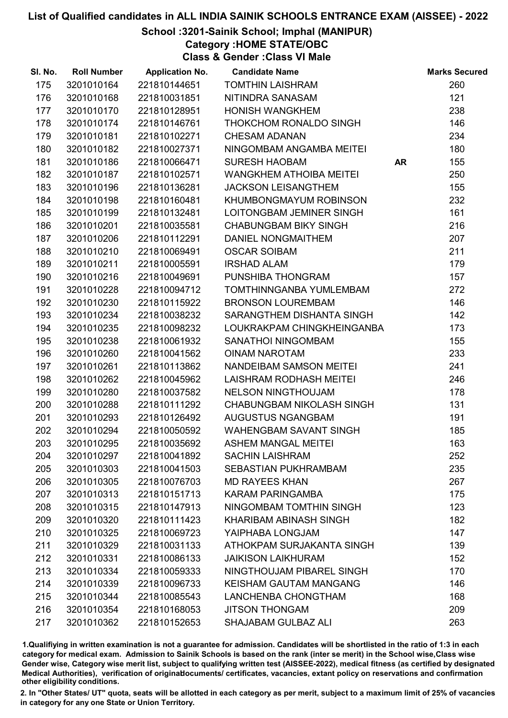School :3201-Sainik School; Imphal (MANIPUR)

Category :HOME STATE/OBC

Class & Gender :Class VI Male

| SI. No. | <b>Roll Number</b> | <b>Application No.</b> | <b>Candidate Name</b>            |           | <b>Marks Secured</b> |
|---------|--------------------|------------------------|----------------------------------|-----------|----------------------|
| 175     | 3201010164         | 221810144651           | <b>TOMTHIN LAISHRAM</b>          |           | 260                  |
| 176     | 3201010168         | 221810031851           | NITINDRA SANASAM                 |           | 121                  |
| 177     | 3201010170         | 221810128951           | <b>HONISH WANGKHEM</b>           |           | 238                  |
| 178     | 3201010174         | 221810146761           | THOKCHOM RONALDO SINGH           |           | 146                  |
| 179     | 3201010181         | 221810102271           | <b>CHESAM ADANAN</b>             |           | 234                  |
| 180     | 3201010182         | 221810027371           | NINGOMBAM ANGAMBA MEITEI         |           | 180                  |
| 181     | 3201010186         | 221810066471           | <b>SURESH HAOBAM</b>             | <b>AR</b> | 155                  |
| 182     | 3201010187         | 221810102571           | <b>WANGKHEM ATHOIBA MEITEI</b>   |           | 250                  |
| 183     | 3201010196         | 221810136281           | <b>JACKSON LEISANGTHEM</b>       |           | 155                  |
| 184     | 3201010198         | 221810160481           | KHUMBONGMAYUM ROBINSON           |           | 232                  |
| 185     | 3201010199         | 221810132481           | LOITONGBAM JEMINER SINGH         |           | 161                  |
| 186     | 3201010201         | 221810035581           | <b>CHABUNGBAM BIKY SINGH</b>     |           | 216                  |
| 187     | 3201010206         | 221810112291           | DANIEL NONGMAITHEM               |           | 207                  |
| 188     | 3201010210         | 221810069491           | <b>OSCAR SOIBAM</b>              |           | 211                  |
| 189     | 3201010211         | 221810005591           | <b>IRSHAD ALAM</b>               |           | 179                  |
| 190     | 3201010216         | 221810049691           | PUNSHIBA THONGRAM                |           | 157                  |
| 191     | 3201010228         | 221810094712           | TOMTHINNGANBA YUMLEMBAM          |           | 272                  |
| 192     | 3201010230         | 221810115922           | <b>BRONSON LOUREMBAM</b>         |           | 146                  |
| 193     | 3201010234         | 221810038232           | SARANGTHEM DISHANTA SINGH        |           | 142                  |
| 194     | 3201010235         | 221810098232           | LOUKRAKPAM CHINGKHEINGANBA       |           | 173                  |
| 195     | 3201010238         | 221810061932           | SANATHOI NINGOMBAM               |           | 155                  |
| 196     | 3201010260         | 221810041562           | <b>OINAM NAROTAM</b>             |           | 233                  |
| 197     | 3201010261         | 221810113862           | NANDEIBAM SAMSON MEITEI          |           | 241                  |
| 198     | 3201010262         | 221810045962           | LAISHRAM RODHASH MEITEI          |           | 246                  |
| 199     | 3201010280         | 221810037582           | <b>NELSON NINGTHOUJAM</b>        |           | 178                  |
| 200     | 3201010288         | 221810111292           | <b>CHABUNGBAM NIKOLASH SINGH</b> |           | 131                  |
| 201     | 3201010293         | 221810126492           | <b>AUGUSTUS NGANGBAM</b>         |           | 191                  |
| 202     | 3201010294         | 221810050592           | <b>WAHENGBAM SAVANT SINGH</b>    |           | 185                  |
| 203     | 3201010295         | 221810035692           | <b>ASHEM MANGAL MEITEI</b>       |           | 163                  |
| 204     | 3201010297         | 221810041892           | <b>SACHIN LAISHRAM</b>           |           | 252                  |
| 205     | 3201010303         | 221810041503           | <b>SEBASTIAN PUKHRAMBAM</b>      |           | 235                  |
| 206     | 3201010305         | 221810076703           | <b>MD RAYEES KHAN</b>            |           | 267                  |
| 207     | 3201010313         | 221810151713           | <b>KARAM PARINGAMBA</b>          |           | 175                  |
| 208     | 3201010315         | 221810147913           | NINGOMBAM TOMTHIN SINGH          |           | 123                  |
| 209     | 3201010320         | 221810111423           | KHARIBAM ABINASH SINGH           |           | 182                  |
| 210     | 3201010325         | 221810069723           | YAIPHABA LONGJAM                 |           | 147                  |
| 211     | 3201010329         | 221810031133           | ATHOKPAM SURJAKANTA SINGH        |           | 139                  |
| 212     | 3201010331         | 221810086133           | <b>JAIKISON LAIKHURAM</b>        |           | 152                  |
| 213     | 3201010334         | 221810059333           | NINGTHOUJAM PIBAREL SINGH        |           | 170                  |
| 214     | 3201010339         | 221810096733           | <b>KEISHAM GAUTAM MANGANG</b>    |           | 146                  |
| 215     | 3201010344         | 221810085543           | LANCHENBA CHONGTHAM              |           | 168                  |
| 216     | 3201010354         | 221810168053           | <b>JITSON THONGAM</b>            |           | 209                  |
| 217     | 3201010362         | 221810152653           | SHAJABAM GULBAZ ALI              |           | 263                  |

1.Qualifiying in written examination is not a guarantee for admission. Candidates will be shortlisted in the ratio of 1:3 in each category for medical exam. Admission to Sainik Schools is based on the rank (inter se merit) in the School wise,Class wise Gender wise, Category wise merit list, subject to qualifying written test (AISSEE-2022), medical fitness (as certified by designated Medical Authorities), verification of originablocuments/ certificates, vacancies, extant policy on reservations and confirmation other eligibility conditions.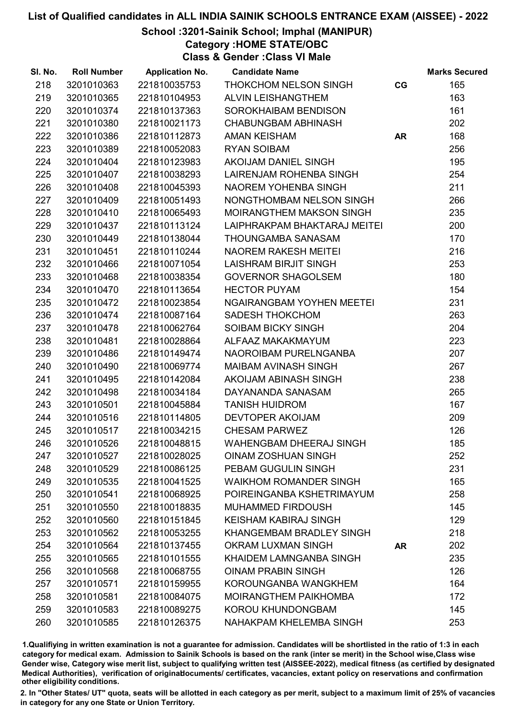School :3201-Sainik School; Imphal (MANIPUR)

Category :HOME STATE/OBC

Class & Gender :Class VI Male

| SI. No. | <b>Roll Number</b> | <b>Application No.</b> | <b>Candidate Name</b>            |           | <b>Marks Secured</b> |
|---------|--------------------|------------------------|----------------------------------|-----------|----------------------|
| 218     | 3201010363         | 221810035753           | THOKCHOM NELSON SINGH            | CG        | 165                  |
| 219     | 3201010365         | 221810104953           | <b>ALVIN LEISHANGTHEM</b>        |           | 163                  |
| 220     | 3201010374         | 221810137363           | SOROKHAIBAM BENDISON             |           | 161                  |
| 221     | 3201010380         | 221810021173           | <b>CHABUNGBAM ABHINASH</b>       |           | 202                  |
| 222     | 3201010386         | 221810112873           | AMAN KEISHAM                     | <b>AR</b> | 168                  |
| 223     | 3201010389         | 221810052083           | <b>RYAN SOIBAM</b>               |           | 256                  |
| 224     | 3201010404         | 221810123983           | AKOIJAM DANIEL SINGH             |           | 195                  |
| 225     | 3201010407         | 221810038293           | LAIRENJAM ROHENBA SINGH          |           | 254                  |
| 226     | 3201010408         | 221810045393           | NAOREM YOHENBA SINGH             |           | 211                  |
| 227     | 3201010409         | 221810051493           | NONGTHOMBAM NELSON SINGH         |           | 266                  |
| 228     | 3201010410         | 221810065493           | MOIRANGTHEM MAKSON SINGH         |           | 235                  |
| 229     | 3201010437         | 221810113124           | LAIPHRAKPAM BHAKTARAJ MEITEI     |           | 200                  |
| 230     | 3201010449         | 221810138044           | <b>THOUNGAMBA SANASAM</b>        |           | 170                  |
| 231     | 3201010451         | 221810110244           | <b>NAOREM RAKESH MEITEI</b>      |           | 216                  |
| 232     | 3201010466         | 221810071054           | LAISHRAM BIRJIT SINGH            |           | 253                  |
| 233     | 3201010468         | 221810038354           | <b>GOVERNOR SHAGOLSEM</b>        |           | 180                  |
| 234     | 3201010470         | 221810113654           | <b>HECTOR PUYAM</b>              |           | 154                  |
| 235     | 3201010472         | 221810023854           | <b>NGAIRANGBAM YOYHEN MEETEI</b> |           | 231                  |
| 236     | 3201010474         | 221810087164           | <b>SADESH THOKCHOM</b>           |           | 263                  |
| 237     | 3201010478         | 221810062764           | SOIBAM BICKY SINGH               |           | 204                  |
| 238     | 3201010481         | 221810028864           | ALFAAZ MAKAKMAYUM                |           | 223                  |
| 239     | 3201010486         | 221810149474           | NAOROIBAM PURELNGANBA            |           | 207                  |
| 240     | 3201010490         | 221810069774           | <b>MAIBAM AVINASH SINGH</b>      |           | 267                  |
| 241     | 3201010495         | 221810142084           | AKOIJAM ABINASH SINGH            |           | 238                  |
| 242     | 3201010498         | 221810034184           | DAYANANDA SANASAM                |           | 265                  |
| 243     | 3201010501         | 221810045884           | <b>TANISH HUIDROM</b>            |           | 167                  |
| 244     | 3201010516         | 221810114805           | DEVTOPER AKOIJAM                 |           | 209                  |
| 245     | 3201010517         | 221810034215           | <b>CHESAM PARWEZ</b>             |           | 126                  |
| 246     | 3201010526         | 221810048815           | <b>WAHENGBAM DHEERAJ SINGH</b>   |           | 185                  |
| 247     | 3201010527         | 221810028025           | <b>OINAM ZOSHUAN SINGH</b>       |           | 252                  |
| 248     | 3201010529         | 221810086125           | PEBAM GUGULIN SINGH              |           | 231                  |
| 249     | 3201010535         | 221810041525           | <b>WAIKHOM ROMANDER SINGH</b>    |           | 165                  |
| 250     | 3201010541         | 221810068925           | POIREINGANBA KSHETRIMAYUM        |           | 258                  |
| 251     | 3201010550         | 221810018835           | <b>MUHAMMED FIRDOUSH</b>         |           | 145                  |
| 252     | 3201010560         | 221810151845           | <b>KEISHAM KABIRAJ SINGH</b>     |           | 129                  |
| 253     | 3201010562         | 221810053255           | <b>KHANGEMBAM BRADLEY SINGH</b>  |           | 218                  |
| 254     | 3201010564         | 221810137455           | <b>OKRAM LUXMAN SINGH</b>        | <b>AR</b> | 202                  |
| 255     | 3201010565         | 221810101555           | KHAIDEM LAMNGANBA SINGH          |           | 235                  |
| 256     | 3201010568         | 221810068755           | <b>OINAM PRABIN SINGH</b>        |           | 126                  |
| 257     | 3201010571         | 221810159955           | KOROUNGANBA WANGKHEM             |           | 164                  |
| 258     | 3201010581         | 221810084075           | <b>MOIRANGTHEM PAIKHOMBA</b>     |           | 172                  |
| 259     | 3201010583         | 221810089275           | KOROU KHUNDONGBAM                |           | 145                  |
| 260     | 3201010585         | 221810126375           | NAHAKPAM KHELEMBA SINGH          |           | 253                  |

1.Qualifiying in written examination is not a guarantee for admission. Candidates will be shortlisted in the ratio of 1:3 in each category for medical exam. Admission to Sainik Schools is based on the rank (inter se merit) in the School wise,Class wise Gender wise, Category wise merit list, subject to qualifying written test (AISSEE-2022), medical fitness (as certified by designated Medical Authorities), verification of originablocuments/ certificates, vacancies, extant policy on reservations and confirmation other eligibility conditions.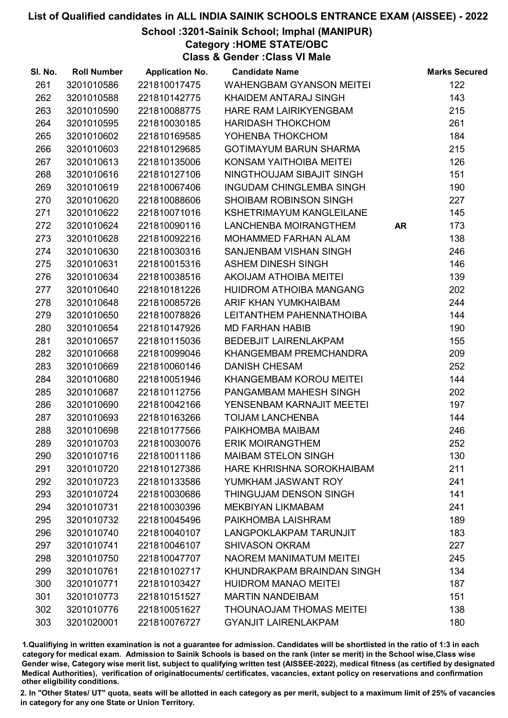School :3201-Sainik School; Imphal (MANIPUR)

Category :HOME STATE/OBC

Class & Gender :Class VI Male

| SI. No. | <b>Roll Number</b> | <b>Application No.</b> | <b>Candidate Name</b>           |           | <b>Marks Secured</b> |
|---------|--------------------|------------------------|---------------------------------|-----------|----------------------|
| 261     | 3201010586         | 221810017475           | <b>WAHENGBAM GYANSON MEITEI</b> |           | 122                  |
| 262     | 3201010588         | 221810142775           | KHAIDEM ANTARAJ SINGH           |           | 143                  |
| 263     | 3201010590         | 221810088775           | <b>HARE RAM LAIRIKYENGBAM</b>   |           | 215                  |
| 264     | 3201010595         | 221810030185           | <b>HARIDASH THOKCHOM</b>        |           | 261                  |
| 265     | 3201010602         | 221810169585           | YOHENBA THOKCHOM                |           | 184                  |
| 266     | 3201010603         | 221810129685           | <b>GOTIMAYUM BARUN SHARMA</b>   |           | 215                  |
| 267     | 3201010613         | 221810135006           | KONSAM YAITHOIBA MEITEI         |           | 126                  |
| 268     | 3201010616         | 221810127106           | NINGTHOUJAM SIBAJIT SINGH       |           | 151                  |
| 269     | 3201010619         | 221810067406           | INGUDAM CHINGLEMBA SINGH        |           | 190                  |
| 270     | 3201010620         | 221810088606           | <b>SHOIBAM ROBINSON SINGH</b>   |           | 227                  |
| 271     | 3201010622         | 221810071016           | <b>KSHETRIMAYUM KANGLEILANE</b> |           | 145                  |
| 272     | 3201010624         | 221810090116           | LANCHENBA MOIRANGTHEM           | <b>AR</b> | 173                  |
| 273     | 3201010628         | 221810092216           | MOHAMMED FARHAN ALAM            |           | 138                  |
| 274     | 3201010630         | 221810030316           | SANJENBAM VISHAN SINGH          |           | 246                  |
| 275     | 3201010631         | 221810015316           | <b>ASHEM DINESH SINGH</b>       |           | 146                  |
| 276     | 3201010634         | 221810038516           | <b>AKOIJAM ATHOIBA MEITEI</b>   |           | 139                  |
| 277     | 3201010640         | 221810181226           | HUIDROM ATHOIBA MANGANG         |           | 202                  |
| 278     | 3201010648         | 221810085726           | ARIF KHAN YUMKHAIBAM            |           | 244                  |
| 279     | 3201010650         | 221810078826           | LEITANTHEM PAHENNATHOIBA        |           | 144                  |
| 280     | 3201010654         | 221810147926           | <b>MD FARHAN HABIB</b>          |           | 190                  |
| 281     | 3201010657         | 221810115036           | <b>BEDEBJIT LAIRENLAKPAM</b>    |           | 155                  |
| 282     | 3201010668         | 221810099046           | KHANGEMBAM PREMCHANDRA          |           | 209                  |
| 283     | 3201010669         | 221810060146           | <b>DANISH CHESAM</b>            |           | 252                  |
| 284     | 3201010680         | 221810051946           | KHANGEMBAM KOROU MEITEI         |           | 144                  |
| 285     | 3201010687         | 221810112756           | PANGAMBAM MAHESH SINGH          |           | 202                  |
| 286     | 3201010690         | 221810042166           | YENSENBAM KARNAJIT MEETEI       |           | 197                  |
| 287     | 3201010693         | 221810163266           | <b>TOIJAM LANCHENBA</b>         |           | 144                  |
| 288     | 3201010698         | 221810177566           | PAIKHOMBA MAIBAM                |           | 246                  |
| 289     | 3201010703         | 221810030076           | <b>ERIK MOIRANGTHEM</b>         |           | 252                  |
| 290     | 3201010716         | 221810011186           | <b>MAIBAM STELON SINGH</b>      |           | 130                  |
| 291     | 3201010720         | 221810127386           | HARE KHRISHNA SOROKHAIBAM       |           | 211                  |
| 292     | 3201010723         | 221810133586           | YUMKHAM JASWANT ROY             |           | 241                  |
| 293     | 3201010724         | 221810030686           | THINGUJAM DENSON SINGH          |           | 141                  |
| 294     | 3201010731         | 221810030396           | MEKBIYAN LIKMABAM               |           | 241                  |
| 295     | 3201010732         | 221810045496           | PAIKHOMBA LAISHRAM              |           | 189                  |
| 296     | 3201010740         | 221810040107           | LANGPOKLAKPAM TARUNJIT          |           | 183                  |
| 297     | 3201010741         | 221810046107           | <b>SHIVASON OKRAM</b>           |           | 227                  |
| 298     | 3201010750         | 221810047707           | <b>NAOREM MANIMATUM MEITEI</b>  |           | 245                  |
| 299     | 3201010761         | 221810102717           | KHUNDRAKPAM BRAINDAN SINGH      |           | 134                  |
| 300     | 3201010771         | 221810103427           | <b>HUIDROM MANAO MEITEI</b>     |           | 187                  |
| 301     | 3201010773         | 221810151527           | <b>MARTIN NANDEIBAM</b>         |           | 151                  |
| 302     | 3201010776         | 221810051627           | <b>THOUNAOJAM THOMAS MEITEI</b> |           | 138                  |
| 303     | 3201020001         | 221810076727           | <b>GYANJIT LAIRENLAKPAM</b>     |           | 180                  |

1.Qualifiying in written examination is not a guarantee for admission. Candidates will be shortlisted in the ratio of 1:3 in each category for medical exam. Admission to Sainik Schools is based on the rank (inter se merit) in the School wise,Class wise Gender wise, Category wise merit list, subject to qualifying written test (AISSEE-2022), medical fitness (as certified by designated Medical Authorities), verification of originablocuments/ certificates, vacancies, extant policy on reservations and confirmation other eligibility conditions.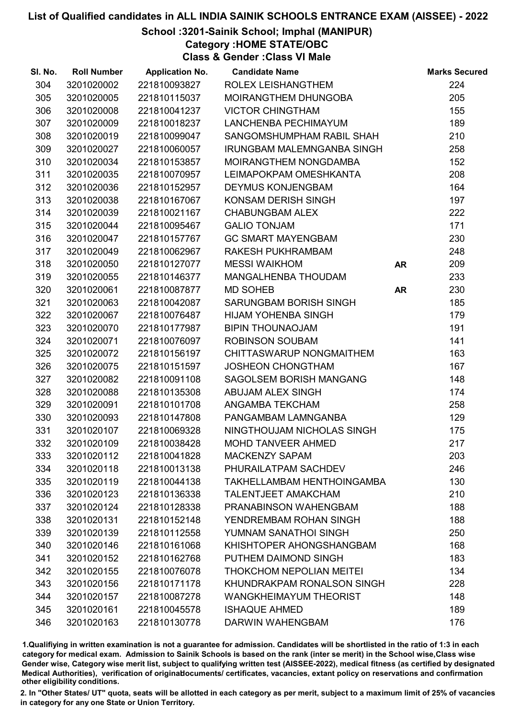School :3201-Sainik School; Imphal (MANIPUR)

Category :HOME STATE/OBC

Class & Gender :Class VI Male

| SI. No. | <b>Roll Number</b> | <b>Application No.</b> | <b>Candidate Name</b>             |           | <b>Marks Secured</b> |
|---------|--------------------|------------------------|-----------------------------------|-----------|----------------------|
| 304     | 3201020002         | 221810093827           | ROLEX LEISHANGTHEM                |           | 224                  |
| 305     | 3201020005         | 221810115037           | <b>MOIRANGTHEM DHUNGOBA</b>       |           | 205                  |
| 306     | 3201020008         | 221810041237           | <b>VICTOR CHINGTHAM</b>           |           | 155                  |
| 307     | 3201020009         | 221810018237           | LANCHENBA PECHIMAYUM              |           | 189                  |
| 308     | 3201020019         | 221810099047           | SANGOMSHUMPHAM RABIL SHAH         |           | 210                  |
| 309     | 3201020027         | 221810060057           | <b>IRUNGBAM MALEMNGANBA SINGH</b> |           | 258                  |
| 310     | 3201020034         | 221810153857           | MOIRANGTHEM NONGDAMBA             |           | 152                  |
| 311     | 3201020035         | 221810070957           | LEIMAPOKPAM OMESHKANTA            |           | 208                  |
| 312     | 3201020036         | 221810152957           | <b>DEYMUS KONJENGBAM</b>          |           | 164                  |
| 313     | 3201020038         | 221810167067           | KONSAM DERISH SINGH               |           | 197                  |
| 314     | 3201020039         | 221810021167           | <b>CHABUNGBAM ALEX</b>            |           | 222                  |
| 315     | 3201020044         | 221810095467           | <b>GALIO TONJAM</b>               |           | 171                  |
| 316     | 3201020047         | 221810157767           | <b>GC SMART MAYENGBAM</b>         |           | 230                  |
| 317     | 3201020049         | 221810062967           | RAKESH PUKHRAMBAM                 |           | 248                  |
| 318     | 3201020050         | 221810127077           | <b>MESSI WAIKHOM</b>              | <b>AR</b> | 209                  |
| 319     | 3201020055         | 221810146377           | MANGALHENBA THOUDAM               |           | 233                  |
| 320     | 3201020061         | 221810087877           | <b>MD SOHEB</b>                   | <b>AR</b> | 230                  |
| 321     | 3201020063         | 221810042087           | SARUNGBAM BORISH SINGH            |           | 185                  |
| 322     | 3201020067         | 221810076487           | <b>HIJAM YOHENBA SINGH</b>        |           | 179                  |
| 323     | 3201020070         | 221810177987           | <b>BIPIN THOUNAOJAM</b>           |           | 191                  |
| 324     | 3201020071         | 221810076097           | <b>ROBINSON SOUBAM</b>            |           | 141                  |
| 325     | 3201020072         | 221810156197           | CHITTASWARUP NONGMAITHEM          |           | 163                  |
| 326     | 3201020075         | 221810151597           | <b>JOSHEON CHONGTHAM</b>          |           | 167                  |
| 327     | 3201020082         | 221810091108           | <b>SAGOLSEM BORISH MANGANG</b>    |           | 148                  |
| 328     | 3201020088         | 221810135308           | ABUJAM ALEX SINGH                 |           | 174                  |
| 329     | 3201020091         | 221810101708           | ANGAMBA TEKCHAM                   |           | 258                  |
| 330     | 3201020093         | 221810147808           | PANGAMBAM LAMNGANBA               |           | 129                  |
| 331     | 3201020107         | 221810069328           | NINGTHOUJAM NICHOLAS SINGH        |           | 175                  |
| 332     | 3201020109         | 221810038428           | <b>MOHD TANVEER AHMED</b>         |           | 217                  |
| 333     | 3201020112         | 221810041828           | <b>MACKENZY SAPAM</b>             |           | 203                  |
| 334     | 3201020118         | 221810013138           | PHURAILATPAM SACHDEV              |           | 246                  |
| 335     | 3201020119         | 221810044138           | TAKHELLAMBAM HENTHOINGAMBA        |           | 130                  |
| 336     | 3201020123         | 221810136338           | <b>TALENTJEET AMAKCHAM</b>        |           | 210                  |
| 337     | 3201020124         | 221810128338           | PRANABINSON WAHENGBAM             |           | 188                  |
| 338     | 3201020131         | 221810152148           | YENDREMBAM ROHAN SINGH            |           | 188                  |
| 339     | 3201020139         | 221810112558           | YUMNAM SANATHOI SINGH             |           | 250                  |
| 340     | 3201020146         | 221810161068           | KHISHTOPER AHONGSHANGBAM          |           | 168                  |
| 341     | 3201020152         | 221810162768           | PUTHEM DAIMOND SINGH              |           | 183                  |
| 342     | 3201020155         | 221810076078           | <b>THOKCHOM NEPOLIAN MEITEI</b>   |           | 134                  |
| 343     | 3201020156         | 221810171178           | KHUNDRAKPAM RONALSON SINGH        |           | 228                  |
| 344     | 3201020157         | 221810087278           | <b>WANGKHEIMAYUM THEORIST</b>     |           | 148                  |
| 345     | 3201020161         | 221810045578           | <b>ISHAQUE AHMED</b>              |           | 189                  |
| 346     | 3201020163         | 221810130778           | DARWIN WAHENGBAM                  |           | 176                  |

1.Qualifiying in written examination is not a guarantee for admission. Candidates will be shortlisted in the ratio of 1:3 in each category for medical exam. Admission to Sainik Schools is based on the rank (inter se merit) in the School wise,Class wise Gender wise, Category wise merit list, subject to qualifying written test (AISSEE-2022), medical fitness (as certified by designated Medical Authorities), verification of originablocuments/ certificates, vacancies, extant policy on reservations and confirmation other eligibility conditions.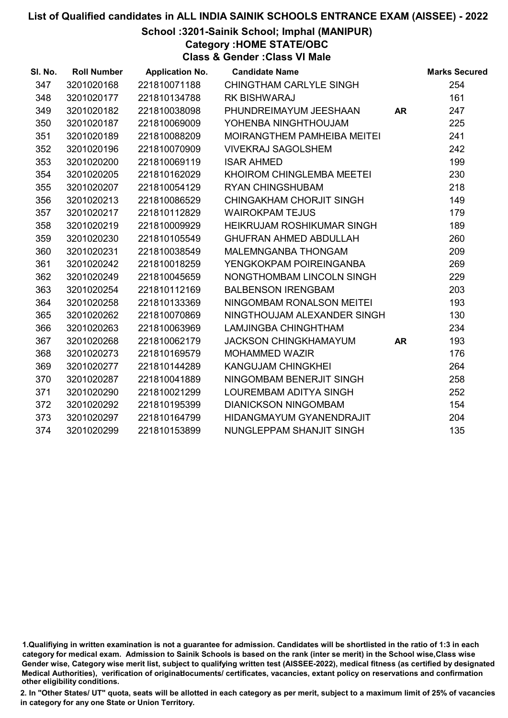School :3201-Sainik School; Imphal (MANIPUR)

Category :HOME STATE/OBC

Class & Gender :Class VI Male

| SI. No. | <b>Roll Number</b> | <b>Application No.</b> | <b>Candidate Name</b>             |           | <b>Marks Secured</b> |
|---------|--------------------|------------------------|-----------------------------------|-----------|----------------------|
| 347     | 3201020168         | 221810071188           | CHINGTHAM CARLYLE SINGH           |           | 254                  |
| 348     | 3201020177         | 221810134788           | <b>RK BISHWARAJ</b>               |           | 161                  |
| 349     | 3201020182         | 221810038098           | PHUNDREIMAYUM JEESHAAN            | <b>AR</b> | 247                  |
| 350     | 3201020187         | 221810069009           | YOHENBA NINGHTHOUJAM              |           | 225                  |
| 351     | 3201020189         | 221810088209           | MOIRANGTHEM PAMHEIBA MEITEI       |           | 241                  |
| 352     | 3201020196         | 221810070909           | <b>VIVEKRAJ SAGOLSHEM</b>         |           | 242                  |
| 353     | 3201020200         | 221810069119           | <b>ISAR AHMED</b>                 |           | 199                  |
| 354     | 3201020205         | 221810162029           | KHOIROM CHINGLEMBA MEETEI         |           | 230                  |
| 355     | 3201020207         | 221810054129           | <b>RYAN CHINGSHUBAM</b>           |           | 218                  |
| 356     | 3201020213         | 221810086529           | <b>CHINGAKHAM CHORJIT SINGH</b>   |           | 149                  |
| 357     | 3201020217         | 221810112829           | <b>WAIROKPAM TEJUS</b>            |           | 179                  |
| 358     | 3201020219         | 221810009929           | <b>HEIKRUJAM ROSHIKUMAR SINGH</b> |           | 189                  |
| 359     | 3201020230         | 221810105549           | <b>GHUFRAN AHMED ABDULLAH</b>     |           | 260                  |
| 360     | 3201020231         | 221810038549           | MALEMNGANBA THONGAM               |           | 209                  |
| 361     | 3201020242         | 221810018259           | YENGKOKPAM POIREINGANBA           |           | 269                  |
| 362     | 3201020249         | 221810045659           | NONGTHOMBAM LINCOLN SINGH         |           | 229                  |
| 363     | 3201020254         | 221810112169           | <b>BALBENSON IRENGBAM</b>         |           | 203                  |
| 364     | 3201020258         | 221810133369           | NINGOMBAM RONALSON MEITEI         |           | 193                  |
| 365     | 3201020262         | 221810070869           | NINGTHOUJAM ALEXANDER SINGH       |           | 130                  |
| 366     | 3201020263         | 221810063969           | LAMJINGBA CHINGHTHAM              |           | 234                  |
| 367     | 3201020268         | 221810062179           | <b>JACKSON CHINGKHAMAYUM</b>      | <b>AR</b> | 193                  |
| 368     | 3201020273         | 221810169579           | <b>MOHAMMED WAZIR</b>             |           | 176                  |
| 369     | 3201020277         | 221810144289           | <b>KANGUJAM CHINGKHEI</b>         |           | 264                  |
| 370     | 3201020287         | 221810041889           | NINGOMBAM BENERJIT SINGH          |           | 258                  |
| 371     | 3201020290         | 221810021299           | LOUREMBAM ADITYA SINGH            |           | 252                  |
| 372     | 3201020292         | 221810195399           | <b>DIANICKSON NINGOMBAM</b>       |           | 154                  |
| 373     | 3201020297         | 221810164799           | <b>HIDANGMAYUM GYANENDRAJIT</b>   |           | 204                  |
| 374     | 3201020299         | 221810153899           | NUNGLEPPAM SHANJIT SINGH          |           | 135                  |

<sup>1.</sup>Qualifiying in written examination is not a guarantee for admission. Candidates will be shortlisted in the ratio of 1:3 in each category for medical exam. Admission to Sainik Schools is based on the rank (inter se merit) in the School wise,Class wise Gender wise, Category wise merit list, subject to qualifying written test (AISSEE-2022), medical fitness (as certified by designated Medical Authorities), verification of originablocuments/ certificates, vacancies, extant policy on reservations and confirmation other eligibility conditions.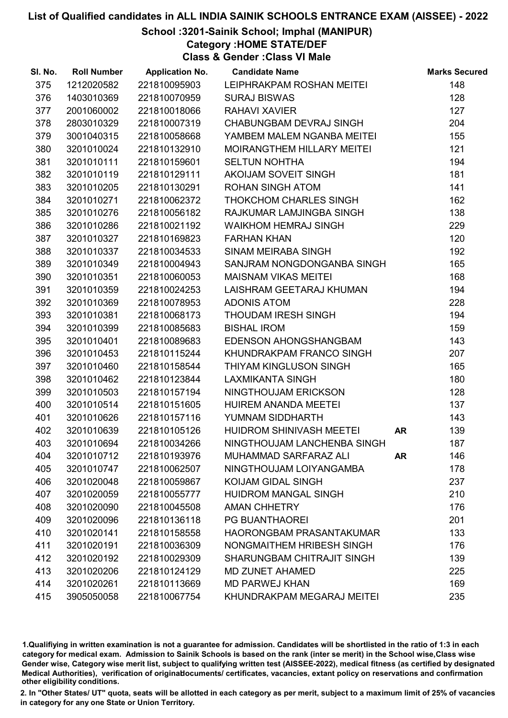School :3201-Sainik School; Imphal (MANIPUR)

Category :HOME STATE/DEF

Class & Gender :Class VI Male

| SI. No. | <b>Roll Number</b> | <b>Application No.</b> | <b>Candidate Name</b>             |           | <b>Marks Secured</b> |
|---------|--------------------|------------------------|-----------------------------------|-----------|----------------------|
| 375     | 1212020582         | 221810095903           | LEIPHRAKPAM ROSHAN MEITEI         |           | 148                  |
| 376     | 1403010369         | 221810070959           | <b>SURAJ BISWAS</b>               |           | 128                  |
| 377     | 2001060002         | 221810018066           | <b>RAHAVI XAVIER</b>              |           | 127                  |
| 378     | 2803010329         | 221810007319           | CHABUNGBAM DEVRAJ SINGH           |           | 204                  |
| 379     | 3001040315         | 221810058668           | YAMBEM MALEM NGANBA MEITEI        |           | 155                  |
| 380     | 3201010024         | 221810132910           | <b>MOIRANGTHEM HILLARY MEITEI</b> |           | 121                  |
| 381     | 3201010111         | 221810159601           | <b>SELTUN NOHTHA</b>              |           | 194                  |
| 382     | 3201010119         | 221810129111           | AKOIJAM SOVEIT SINGH              |           | 181                  |
| 383     | 3201010205         | 221810130291           | <b>ROHAN SINGH ATOM</b>           |           | 141                  |
| 384     | 3201010271         | 221810062372           | THOKCHOM CHARLES SINGH            |           | 162                  |
| 385     | 3201010276         | 221810056182           | RAJKUMAR LAMJINGBA SINGH          |           | 138                  |
| 386     | 3201010286         | 221810021192           | <b>WAIKHOM HEMRAJ SINGH</b>       |           | 229                  |
| 387     | 3201010327         | 221810169823           | <b>FARHAN KHAN</b>                |           | 120                  |
| 388     | 3201010337         | 221810034533           | <b>SINAM MEIRABA SINGH</b>        |           | 192                  |
| 389     | 3201010349         | 221810004943           | SANJRAM NONGDONGANBA SINGH        |           | 165                  |
| 390     | 3201010351         | 221810060053           | <b>MAISNAM VIKAS MEITEI</b>       |           | 168                  |
| 391     | 3201010359         | 221810024253           | LAISHRAM GEETARAJ KHUMAN          |           | 194                  |
| 392     | 3201010369         | 221810078953           | <b>ADONIS ATOM</b>                |           | 228                  |
| 393     | 3201010381         | 221810068173           | THOUDAM IRESH SINGH               |           | 194                  |
| 394     | 3201010399         | 221810085683           | <b>BISHAL IROM</b>                |           | 159                  |
| 395     | 3201010401         | 221810089683           | EDENSON AHONGSHANGBAM             |           | 143                  |
| 396     | 3201010453         | 221810115244           | KHUNDRAKPAM FRANCO SINGH          |           | 207                  |
| 397     | 3201010460         | 221810158544           | THIYAM KINGLUSON SINGH            |           | 165                  |
| 398     | 3201010462         | 221810123844           | <b>LAXMIKANTA SINGH</b>           |           | 180                  |
| 399     | 3201010503         | 221810157194           | NINGTHOUJAM ERICKSON              |           | 128                  |
| 400     | 3201010514         | 221810151605           | <b>HUIREM ANANDA MEETEI</b>       |           | 137                  |
| 401     | 3201010626         | 221810157116           | YUMNAM SIDDHARTH                  |           | 143                  |
| 402     | 3201010639         | 221810105126           | <b>HUIDROM SHINIVASH MEETEI</b>   | <b>AR</b> | 139                  |
| 403     | 3201010694         | 221810034266           | NINGTHOUJAM LANCHENBA SINGH       |           | 187                  |
| 404     | 3201010712         | 221810193976           | MUHAMMAD SARFARAZ ALI             | <b>AR</b> | 146                  |
| 405     | 3201010747         | 221810062507           | NINGTHOUJAM LOIYANGAMBA           |           | 178                  |
| 406     | 3201020048         | 221810059867           | KOIJAM GIDAL SINGH                |           | 237                  |
| 407     | 3201020059         | 221810055777           | <b>HUIDROM MANGAL SINGH</b>       |           | 210                  |
| 408     | 3201020090         | 221810045508           | <b>AMAN CHHETRY</b>               |           | 176                  |
| 409     | 3201020096         | 221810136118           | <b>PG BUANTHAOREI</b>             |           | 201                  |
| 410     | 3201020141         | 221810158558           | <b>HAORONGBAM PRASANTAKUMAR</b>   |           | 133                  |
| 411     | 3201020191         | 221810036309           | NONGMAITHEM HRIBESH SINGH         |           | 176                  |
| 412     | 3201020192         | 221810029309           | SHARUNGBAM CHITRAJIT SINGH        |           | 139                  |
| 413     | 3201020206         | 221810124129           | <b>MD ZUNET AHAMED</b>            |           | 225                  |
| 414     | 3201020261         | 221810113669           | <b>MD PARWEJ KHAN</b>             |           | 169                  |
| 415     | 3905050058         | 221810067754           | KHUNDRAKPAM MEGARAJ MEITEI        |           | 235                  |

1.Qualifiying in written examination is not a guarantee for admission. Candidates will be shortlisted in the ratio of 1:3 in each category for medical exam. Admission to Sainik Schools is based on the rank (inter se merit) in the School wise,Class wise Gender wise, Category wise merit list, subject to qualifying written test (AISSEE-2022), medical fitness (as certified by designated Medical Authorities), verification of originablocuments/ certificates, vacancies, extant policy on reservations and confirmation other eligibility conditions.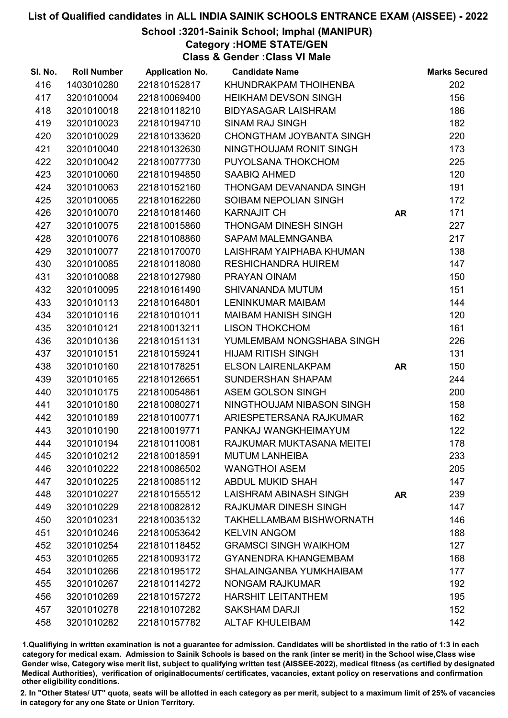School :3201-Sainik School; Imphal (MANIPUR)

Category :HOME STATE/GEN

Class & Gender :Class VI Male

| SI. No. | <b>Roll Number</b> | <b>Application No.</b> | <b>Candidate Name</b>           |           | <b>Marks Secured</b> |
|---------|--------------------|------------------------|---------------------------------|-----------|----------------------|
| 416     | 1403010280         | 221810152817           | KHUNDRAKPAM THOIHENBA           |           | 202                  |
| 417     | 3201010004         | 221810069400           | <b>HEIKHAM DEVSON SINGH</b>     |           | 156                  |
| 418     | 3201010018         | 221810118210           | <b>BIDYASAGAR LAISHRAM</b>      |           | 186                  |
| 419     | 3201010023         | 221810194710           | <b>SINAM RAJ SINGH</b>          |           | 182                  |
| 420     | 3201010029         | 221810133620           | CHONGTHAM JOYBANTA SINGH        |           | 220                  |
| 421     | 3201010040         | 221810132630           | NINGTHOUJAM RONIT SINGH         |           | 173                  |
| 422     | 3201010042         | 221810077730           | PUYOLSANA THOKCHOM              |           | 225                  |
| 423     | 3201010060         | 221810194850           | SAABIQ AHMED                    |           | 120                  |
| 424     | 3201010063         | 221810152160           | THONGAM DEVANANDA SINGH         |           | 191                  |
| 425     | 3201010065         | 221810162260           | SOIBAM NEPOLIAN SINGH           |           | 172                  |
| 426     | 3201010070         | 221810181460           | <b>KARNAJIT CH</b>              | <b>AR</b> | 171                  |
| 427     | 3201010075         | 221810015860           | THONGAM DINESH SINGH            |           | 227                  |
| 428     | 3201010076         | 221810108860           | SAPAM MALEMNGANBA               |           | 217                  |
| 429     | 3201010077         | 221810170070           | LAISHRAM YAIPHABA KHUMAN        |           | 138                  |
| 430     | 3201010085         | 221810118080           | <b>RESHICHANDRA HUIREM</b>      |           | 147                  |
| 431     | 3201010088         | 221810127980           | PRAYAN OINAM                    |           | 150                  |
| 432     | 3201010095         | 221810161490           | SHIVANANDA MUTUM                |           | 151                  |
| 433     | 3201010113         | 221810164801           | <b>LENINKUMAR MAIBAM</b>        |           | 144                  |
| 434     | 3201010116         | 221810101011           | <b>MAIBAM HANISH SINGH</b>      |           | 120                  |
| 435     | 3201010121         | 221810013211           | <b>LISON THOKCHOM</b>           |           | 161                  |
| 436     | 3201010136         | 221810151131           | YUMLEMBAM NONGSHABA SINGH       |           | 226                  |
| 437     | 3201010151         | 221810159241           | <b>HIJAM RITISH SINGH</b>       |           | 131                  |
| 438     | 3201010160         | 221810178251           | <b>ELSON LAIRENLAKPAM</b>       | <b>AR</b> | 150                  |
| 439     | 3201010165         | 221810126651           | <b>SUNDERSHAN SHAPAM</b>        |           | 244                  |
| 440     | 3201010175         | 221810054861           | ASEM GOLSON SINGH               |           | 200                  |
| 441     | 3201010180         | 221810080271           | NINGTHOUJAM NIBASON SINGH       |           | 158                  |
| 442     | 3201010189         | 221810100771           | ARIESPETERSANA RAJKUMAR         |           | 162                  |
| 443     | 3201010190         | 221810019771           | PANKAJ WANGKHEIMAYUM            |           | 122                  |
| 444     | 3201010194         | 221810110081           | RAJKUMAR MUKTASANA MEITEI       |           | 178                  |
| 445     | 3201010212         | 221810018591           | <b>MUTUM LANHEIBA</b>           |           | 233                  |
| 446     | 3201010222         | 221810086502           | <b>WANGTHOI ASEM</b>            |           | 205                  |
| 447     | 3201010225         | 221810085112           | <b>ABDUL MUKID SHAH</b>         |           | 147                  |
| 448     | 3201010227         | 221810155512           | LAISHRAM ABINASH SINGH          | <b>AR</b> | 239                  |
| 449     | 3201010229         | 221810082812           | <b>RAJKUMAR DINESH SINGH</b>    |           | 147                  |
| 450     | 3201010231         | 221810035132           | <b>TAKHELLAMBAM BISHWORNATH</b> |           | 146                  |
| 451     | 3201010246         | 221810053642           | <b>KELVIN ANGOM</b>             |           | 188                  |
| 452     | 3201010254         | 221810118452           | <b>GRAMSCI SINGH WAIKHOM</b>    |           | 127                  |
| 453     | 3201010265         | 221810093172           | <b>GYANENDRA KHANGEMBAM</b>     |           | 168                  |
| 454     | 3201010266         | 221810195172           | SHALAINGANBA YUMKHAIBAM         |           | 177                  |
| 455     | 3201010267         | 221810114272           | <b>NONGAM RAJKUMAR</b>          |           | 192                  |
| 456     | 3201010269         | 221810157272           | <b>HARSHIT LEITANTHEM</b>       |           | 195                  |
| 457     | 3201010278         | 221810107282           | <b>SAKSHAM DARJI</b>            |           | 152                  |
| 458     | 3201010282         | 221810157782           | <b>ALTAF KHULEIBAM</b>          |           | 142                  |

1.Qualifiying in written examination is not a guarantee for admission. Candidates will be shortlisted in the ratio of 1:3 in each category for medical exam. Admission to Sainik Schools is based on the rank (inter se merit) in the School wise,Class wise Gender wise, Category wise merit list, subject to qualifying written test (AISSEE-2022), medical fitness (as certified by designated Medical Authorities), verification of originablocuments/ certificates, vacancies, extant policy on reservations and confirmation other eligibility conditions.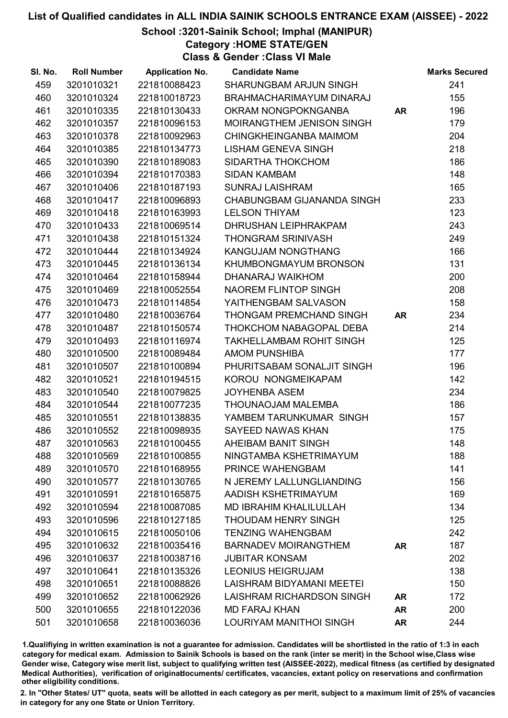School :3201-Sainik School; Imphal (MANIPUR)

Category :HOME STATE/GEN

Class & Gender :Class VI Male

| SI. No. | <b>Roll Number</b> | <b>Application No.</b> | <b>Candidate Name</b>            |           | <b>Marks Secured</b> |
|---------|--------------------|------------------------|----------------------------------|-----------|----------------------|
| 459     | 3201010321         | 221810088423           | SHARUNGBAM ARJUN SINGH           |           | 241                  |
| 460     | 3201010324         | 221810018723           | BRAHMACHARIMAYUM DINARAJ         |           | 155                  |
| 461     | 3201010335         | 221810130433           | OKRAM NONGPOKNGANBA              | <b>AR</b> | 196                  |
| 462     | 3201010357         | 221810096153           | <b>MOIRANGTHEM JENISON SINGH</b> |           | 179                  |
| 463     | 3201010378         | 221810092963           | CHINGKHEINGANBA MAIMOM           |           | 204                  |
| 464     | 3201010385         | 221810134773           | <b>LISHAM GENEVA SINGH</b>       |           | 218                  |
| 465     | 3201010390         | 221810189083           | SIDARTHA THOKCHOM                |           | 186                  |
| 466     | 3201010394         | 221810170383           | <b>SIDAN KAMBAM</b>              |           | 148                  |
| 467     | 3201010406         | 221810187193           | <b>SUNRAJ LAISHRAM</b>           |           | 165                  |
| 468     | 3201010417         | 221810096893           | CHABUNGBAM GIJANANDA SINGH       |           | 233                  |
| 469     | 3201010418         | 221810163993           | <b>LELSON THIYAM</b>             |           | 123                  |
| 470     | 3201010433         | 221810069514           | DHRUSHAN LEIPHRAKPAM             |           | 243                  |
| 471     | 3201010438         | 221810151324           | <b>THONGRAM SRINIVASH</b>        |           | 249                  |
| 472     | 3201010444         | 221810134924           | <b>KANGUJAM NONGTHANG</b>        |           | 166                  |
| 473     | 3201010445         | 221810136134           | KHUMBONGMAYUM BRONSON            |           | 131                  |
| 474     | 3201010464         | 221810158944           | DHANARAJ WAIKHOM                 |           | 200                  |
| 475     | 3201010469         | 221810052554           | NAOREM FLINTOP SINGH             |           | 208                  |
| 476     | 3201010473         | 221810114854           | YAITHENGBAM SALVASON             |           | 158                  |
| 477     | 3201010480         | 221810036764           | THONGAM PREMCHAND SINGH          | <b>AR</b> | 234                  |
| 478     | 3201010487         | 221810150574           | THOKCHOM NABAGOPAL DEBA          |           | 214                  |
| 479     | 3201010493         | 221810116974           | <b>TAKHELLAMBAM ROHIT SINGH</b>  |           | 125                  |
| 480     | 3201010500         | 221810089484           | <b>AMOM PUNSHIBA</b>             |           | 177                  |
| 481     | 3201010507         | 221810100894           | PHURITSABAM SONALJIT SINGH       |           | 196                  |
| 482     | 3201010521         | 221810194515           | KOROU NONGMEIKAPAM               |           | 142                  |
| 483     | 3201010540         | 221810079825           | <b>JOYHENBA ASEM</b>             |           | 234                  |
| 484     | 3201010544         | 221810077235           | THOUNAOJAM MALEMBA               |           | 186                  |
| 485     | 3201010551         | 221810138835           | YAMBEM TARUNKUMAR SINGH          |           | 157                  |
| 486     | 3201010552         | 221810098935           | SAYEED NAWAS KHAN                |           | 175                  |
| 487     | 3201010563         | 221810100455           | AHEIBAM BANIT SINGH              |           | 148                  |
| 488     | 3201010569         | 221810100855           | NINGTAMBA KSHETRIMAYUM           |           | 188                  |
| 489     | 3201010570         | 221810168955           | PRINCE WAHENGBAM                 |           | 141                  |
| 490     | 3201010577         | 221810130765           | N JEREMY LALLUNGLIANDING         |           | 156                  |
| 491     | 3201010591         | 221810165875           | AADISH KSHETRIMAYUM              |           | 169                  |
| 492     | 3201010594         | 221810087085           | <b>MD IBRAHIM KHALILULLAH</b>    |           | 134                  |
| 493     | 3201010596         | 221810127185           | <b>THOUDAM HENRY SINGH</b>       |           | 125                  |
| 494     | 3201010615         | 221810050106           | <b>TENZING WAHENGBAM</b>         |           | 242                  |
| 495     | 3201010632         | 221810035416           | <b>BARNADEV MOIRANGTHEM</b>      | <b>AR</b> | 187                  |
| 496     | 3201010637         | 221810038716           | <b>JUBITAR KONSAM</b>            |           | 202                  |
| 497     | 3201010641         | 221810135326           | <b>LEONIUS HEIGRUJAM</b>         |           | 138                  |
| 498     | 3201010651         | 221810088826           | LAISHRAM BIDYAMANI MEETEI        |           | 150                  |
| 499     | 3201010652         | 221810062926           | LAISHRAM RICHARDSON SINGH        | <b>AR</b> | 172                  |
| 500     | 3201010655         | 221810122036           | <b>MD FARAJ KHAN</b>             | <b>AR</b> | 200                  |
| 501     | 3201010658         | 221810036036           | LOURIYAM MANITHOI SINGH          | <b>AR</b> | 244                  |

1.Qualifiying in written examination is not a guarantee for admission. Candidates will be shortlisted in the ratio of 1:3 in each category for medical exam. Admission to Sainik Schools is based on the rank (inter se merit) in the School wise,Class wise Gender wise, Category wise merit list, subject to qualifying written test (AISSEE-2022), medical fitness (as certified by designated Medical Authorities), verification of originablocuments/ certificates, vacancies, extant policy on reservations and confirmation other eligibility conditions.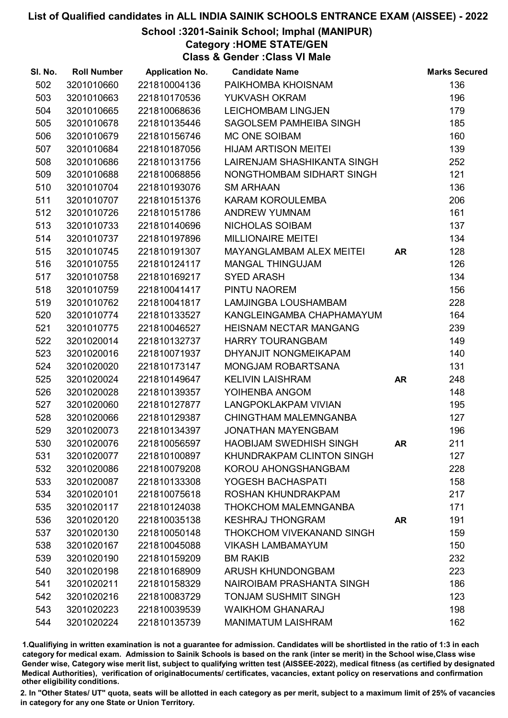School :3201-Sainik School; Imphal (MANIPUR)

Category :HOME STATE/GEN

Class & Gender :Class VI Male

| SI. No. | <b>Roll Number</b> | <b>Application No.</b> | <b>Candidate Name</b>          |           | <b>Marks Secured</b> |
|---------|--------------------|------------------------|--------------------------------|-----------|----------------------|
| 502     | 3201010660         | 221810004136           | PAIKHOMBA KHOISNAM             |           | 136                  |
| 503     | 3201010663         | 221810170536           | YUKVASH OKRAM                  |           | 196                  |
| 504     | 3201010665         | 221810068636           | <b>LEICHOMBAM LINGJEN</b>      |           | 179                  |
| 505     | 3201010678         | 221810135446           | SAGOLSEM PAMHEIBA SINGH        |           | 185                  |
| 506     | 3201010679         | 221810156746           | MC ONE SOIBAM                  |           | 160                  |
| 507     | 3201010684         | 221810187056           | <b>HIJAM ARTISON MEITEI</b>    |           | 139                  |
| 508     | 3201010686         | 221810131756           | LAIRENJAM SHASHIKANTA SINGH    |           | 252                  |
| 509     | 3201010688         | 221810068856           | NONGTHOMBAM SIDHART SINGH      |           | 121                  |
| 510     | 3201010704         | 221810193076           | <b>SM ARHAAN</b>               |           | 136                  |
| 511     | 3201010707         | 221810151376           | KARAM KOROULEMBA               |           | 206                  |
| 512     | 3201010726         | 221810151786           | <b>ANDREW YUMNAM</b>           |           | 161                  |
| 513     | 3201010733         | 221810140696           | NICHOLAS SOIBAM                |           | 137                  |
| 514     | 3201010737         | 221810197896           | <b>MILLIONAIRE MEITEI</b>      |           | 134                  |
| 515     | 3201010745         | 221810191307           | MAYANGLAMBAM ALEX MEITEI       | <b>AR</b> | 128                  |
| 516     | 3201010755         | 221810124117           | <b>MANGAL THINGUJAM</b>        |           | 126                  |
| 517     | 3201010758         | 221810169217           | <b>SYED ARASH</b>              |           | 134                  |
| 518     | 3201010759         | 221810041417           | PINTU NAOREM                   |           | 156                  |
| 519     | 3201010762         | 221810041817           | LAMJINGBA LOUSHAMBAM           |           | 228                  |
| 520     | 3201010774         | 221810133527           | KANGLEINGAMBA CHAPHAMAYUM      |           | 164                  |
| 521     | 3201010775         | 221810046527           | <b>HEISNAM NECTAR MANGANG</b>  |           | 239                  |
| 522     | 3201020014         | 221810132737           | HARRY TOURANGBAM               |           | 149                  |
| 523     | 3201020016         | 221810071937           | DHYANJIT NONGMEIKAPAM          |           | 140                  |
| 524     | 3201020020         | 221810173147           | <b>MONGJAM ROBARTSANA</b>      |           | 131                  |
| 525     | 3201020024         | 221810149647           | <b>KELIVIN LAISHRAM</b>        | <b>AR</b> | 248                  |
| 526     | 3201020028         | 221810139357           | YOIHENBA ANGOM                 |           | 148                  |
| 527     | 3201020060         | 221810127877           | <b>LANGPOKLAKPAM VIVIAN</b>    |           | 195                  |
| 528     | 3201020066         | 221810129387           | <b>CHINGTHAM MALEMNGANBA</b>   |           | 127                  |
| 529     | 3201020073         | 221810134397           | <b>JONATHAN MAYENGBAM</b>      |           | 196                  |
| 530     | 3201020076         | 221810056597           | <b>HAOBIJAM SWEDHISH SINGH</b> | <b>AR</b> | 211                  |
| 531     | 3201020077         | 221810100897           | KHUNDRAKPAM CLINTON SINGH      |           | 127                  |
| 532     | 3201020086         | 221810079208           | KOROU AHONGSHANGBAM            |           | 228                  |
| 533     | 3201020087         | 221810133308           | YOGESH BACHASPATI              |           | 158                  |
| 534     | 3201020101         | 221810075618           | ROSHAN KHUNDRAKPAM             |           | 217                  |
| 535     | 3201020117         | 221810124038           | <b>THOKCHOM MALEMNGANBA</b>    |           | 171                  |
| 536     | 3201020120         | 221810035138           | <b>KESHRAJ THONGRAM</b>        | AR        | 191                  |
| 537     | 3201020130         | 221810050148           | THOKCHOM VIVEKANAND SINGH      |           | 159                  |
| 538     | 3201020167         | 221810045088           | <b>VIKASH LAMBAMAYUM</b>       |           | 150                  |
| 539     | 3201020190         | 221810159209           | <b>BM RAKIB</b>                |           | 232                  |
| 540     | 3201020198         | 221810168909           | ARUSH KHUNDONGBAM              |           | 223                  |
| 541     | 3201020211         | 221810158329           | NAIROIBAM PRASHANTA SINGH      |           | 186                  |
| 542     | 3201020216         | 221810083729           | <b>TONJAM SUSHMIT SINGH</b>    |           | 123                  |
| 543     | 3201020223         | 221810039539           | <b>WAIKHOM GHANARAJ</b>        |           | 198                  |
| 544     | 3201020224         | 221810135739           | <b>MANIMATUM LAISHRAM</b>      |           | 162                  |

1.Qualifiying in written examination is not a guarantee for admission. Candidates will be shortlisted in the ratio of 1:3 in each category for medical exam. Admission to Sainik Schools is based on the rank (inter se merit) in the School wise,Class wise Gender wise, Category wise merit list, subject to qualifying written test (AISSEE-2022), medical fitness (as certified by designated Medical Authorities), verification of originablocuments/ certificates, vacancies, extant policy on reservations and confirmation other eligibility conditions.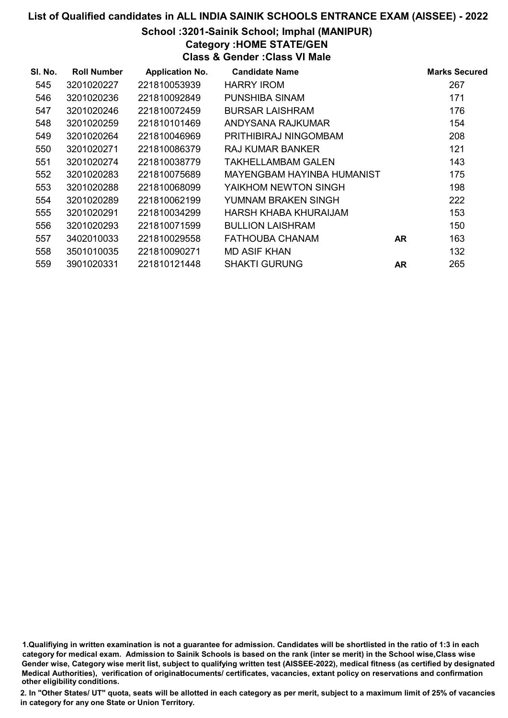### School :3201-Sainik School; Imphal (MANIPUR)

Category :HOME STATE/GEN

Class & Gender :Class VI Male

| SI. No. | <b>Roll Number</b> | <b>Application No.</b> | <b>Candidate Name</b>      |           | <b>Marks Secured</b> |
|---------|--------------------|------------------------|----------------------------|-----------|----------------------|
| 545     | 3201020227         | 221810053939           | <b>HARRY IROM</b>          |           | 267                  |
| 546     | 3201020236         | 221810092849           | PUNSHIBA SINAM             |           | 171                  |
| 547     | 3201020246         | 221810072459           | <b>BURSAR LAISHRAM</b>     |           | 176                  |
| 548     | 3201020259         | 221810101469           | ANDYSANA RAJKUMAR          |           | 154                  |
| 549     | 3201020264         | 221810046969           | PRITHIBIRAJ NINGOMBAM      |           | 208                  |
| 550     | 3201020271         | 221810086379           | RAJ KUMAR BANKER           |           | 121                  |
| 551     | 3201020274         | 221810038779           | TAKHELLAMBAM GALEN         |           | 143                  |
| 552     | 3201020283         | 221810075689           | MAYENGBAM HAYINBA HUMANIST |           | 175                  |
| 553     | 3201020288         | 221810068099           | YAIKHOM NEWTON SINGH       |           | 198                  |
| 554     | 3201020289         | 221810062199           | YUMNAM BRAKEN SINGH        |           | 222                  |
| 555     | 3201020291         | 221810034299           | HARSH KHABA KHURAIJAM      |           | 153                  |
| 556     | 3201020293         | 221810071599           | <b>BULLION LAISHRAM</b>    |           | 150                  |
| 557     | 3402010033         | 221810029558           | FATHOUBA CHANAM            | <b>AR</b> | 163                  |
| 558     | 3501010035         | 221810090271           | <b>MD ASIF KHAN</b>        |           | 132                  |
| 559     | 3901020331         | 221810121448           | <b>SHAKTI GURUNG</b>       | <b>AR</b> | 265                  |

1.Qualifiying in written examination is not a guarantee for admission. Candidates will be shortlisted in the ratio of 1:3 in each category for medical exam. Admission to Sainik Schools is based on the rank (inter se merit) in the School wise,Class wise Gender wise, Category wise merit list, subject to qualifying written test (AISSEE-2022), medical fitness (as certified by designated Medical Authorities), verification of originablocuments/ certificates, vacancies, extant policy on reservations and confirmation other eligibility conditions.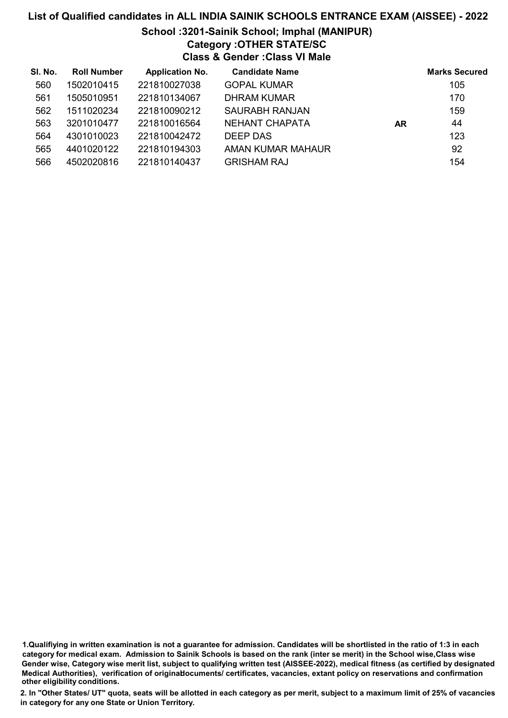#### School :3201-Sainik School; Imphal (MANIPUR) Category :OTHER STATE/SC

Class & Gender :Class VI Male

| SI. No. | <b>Roll Number</b> | <b>Application No.</b> | <b>Candidate Name</b> |    | <b>Marks Secured</b> |
|---------|--------------------|------------------------|-----------------------|----|----------------------|
| 560     | 1502010415         | 221810027038           | <b>GOPAL KUMAR</b>    |    | 105                  |
| 561     | 1505010951         | 221810134067           | <b>DHRAM KUMAR</b>    |    | 170                  |
| 562     | 1511020234         | 221810090212           | <b>SAURABH RANJAN</b> |    | 159                  |
| 563     | 3201010477         | 221810016564           | NEHANT CHAPATA        | AR | 44                   |
| 564     | 4301010023         | 221810042472           | DEEP DAS              |    | 123                  |
| 565     | 4401020122         | 221810194303           | AMAN KUMAR MAHAUR     |    | 92                   |
| 566     | 4502020816         | 221810140437           | <b>GRISHAM RAJ</b>    |    | 154                  |

<sup>1.</sup>Qualifiying in written examination is not a guarantee for admission. Candidates will be shortlisted in the ratio of 1:3 in each category for medical exam. Admission to Sainik Schools is based on the rank (inter se merit) in the School wise,Class wise Gender wise, Category wise merit list, subject to qualifying written test (AISSEE-2022), medical fitness (as certified by designated Medical Authorities), verification of originablocuments/ certificates, vacancies, extant policy on reservations and confirmation other eligibility conditions.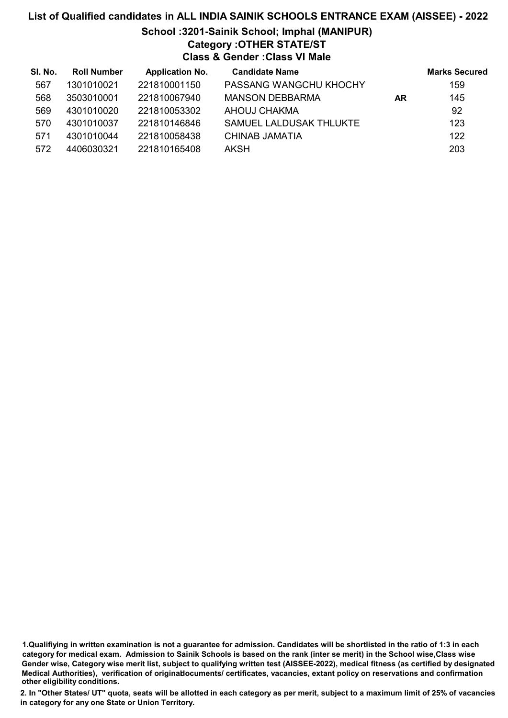## List of Qualified candidates in ALL INDIA SAINIK SCHOOLS ENTRANCE EXAM (AISSEE) - 2022 School :3201-Sainik School; Imphal (MANIPUR) Category :OTHER STATE/ST

Class & Gender :Class VI Male

| SI. No. | <b>Roll Number</b> | <b>Application No.</b> | <b>Candidate Name</b>   |           | <b>Marks Secured</b> |
|---------|--------------------|------------------------|-------------------------|-----------|----------------------|
| 567     | 1301010021         | 221810001150           | PASSANG WANGCHU KHOCHY  |           | 159                  |
| 568     | 3503010001         | 221810067940           | <b>MANSON DEBBARMA</b>  | <b>AR</b> | 145                  |
| 569     | 4301010020         | 221810053302           | AHOUJ CHAKMA            |           | 92                   |
| 570     | 4301010037         | 221810146846           | SAMUEL LALDUSAK THLUKTE |           | 123                  |
| 571     | 4301010044         | 221810058438           | CHINAB JAMATIA          |           | 122                  |
| 572     | 4406030321         | 221810165408           | AKSH                    |           | 203                  |

1.Qualifiying in written examination is not a guarantee for admission. Candidates will be shortlisted in the ratio of 1:3 in each category for medical exam. Admission to Sainik Schools is based on the rank (inter se merit) in the School wise,Class wise Gender wise, Category wise merit list, subject to qualifying written test (AISSEE-2022), medical fitness (as certified by designated Medical Authorities), verification of originablocuments/ certificates, vacancies, extant policy on reservations and confirmation other eligibility conditions.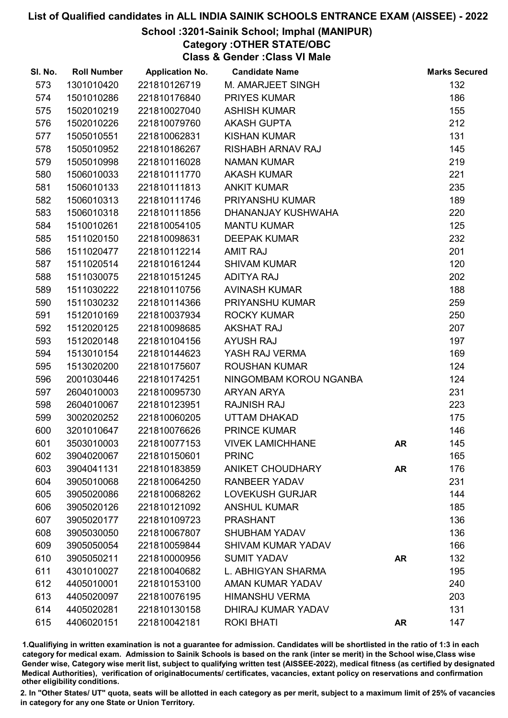#### School :3201-Sainik School; Imphal (MANIPUR)

Category :OTHER STATE/OBC

Class & Gender :Class VI Male

| SI. No. | <b>Roll Number</b> | <b>Application No.</b> | <b>Candidate Name</b>     |           | <b>Marks Secured</b> |
|---------|--------------------|------------------------|---------------------------|-----------|----------------------|
| 573     | 1301010420         | 221810126719           | M. AMARJEET SINGH         |           | 132                  |
| 574     | 1501010286         | 221810176840           | <b>PRIYES KUMAR</b>       |           | 186                  |
| 575     | 1502010219         | 221810027040           | <b>ASHISH KUMAR</b>       |           | 155                  |
| 576     | 1502010226         | 221810079760           | <b>AKASH GUPTA</b>        |           | 212                  |
| 577     | 1505010551         | 221810062831           | <b>KISHAN KUMAR</b>       |           | 131                  |
| 578     | 1505010952         | 221810186267           | RISHABH ARNAV RAJ         |           | 145                  |
| 579     | 1505010998         | 221810116028           | <b>NAMAN KUMAR</b>        |           | 219                  |
| 580     | 1506010033         | 221810111770           | <b>AKASH KUMAR</b>        |           | 221                  |
| 581     | 1506010133         | 221810111813           | <b>ANKIT KUMAR</b>        |           | 235                  |
| 582     | 1506010313         | 221810111746           | PRIYANSHU KUMAR           |           | 189                  |
| 583     | 1506010318         | 221810111856           | DHANANJAY KUSHWAHA        |           | 220                  |
| 584     | 1510010261         | 221810054105           | <b>MANTU KUMAR</b>        |           | 125                  |
| 585     | 1511020150         | 221810098631           | <b>DEEPAK KUMAR</b>       |           | 232                  |
| 586     | 1511020477         | 221810112214           | <b>AMIT RAJ</b>           |           | 201                  |
| 587     | 1511020514         | 221810161244           | <b>SHIVAM KUMAR</b>       |           | 120                  |
| 588     | 1511030075         | 221810151245           | <b>ADITYA RAJ</b>         |           | 202                  |
| 589     | 1511030222         | 221810110756           | <b>AVINASH KUMAR</b>      |           | 188                  |
| 590     | 1511030232         | 221810114366           | PRIYANSHU KUMAR           |           | 259                  |
| 591     | 1512010169         | 221810037934           | <b>ROCKY KUMAR</b>        |           | 250                  |
| 592     | 1512020125         | 221810098685           | <b>AKSHAT RAJ</b>         |           | 207                  |
| 593     | 1512020148         | 221810104156           | <b>AYUSH RAJ</b>          |           | 197                  |
| 594     | 1513010154         | 221810144623           | YASH RAJ VERMA            |           | 169                  |
| 595     | 1513020200         | 221810175607           | <b>ROUSHAN KUMAR</b>      |           | 124                  |
| 596     | 2001030446         | 221810174251           | NINGOMBAM KOROU NGANBA    |           | 124                  |
| 597     | 2604010003         | 221810095730           | ARYAN ARYA                |           | 231                  |
| 598     | 2604010067         | 221810123951           | <b>RAJNISH RAJ</b>        |           | 223                  |
| 599     | 3002020252         | 221810060205           | UTTAM DHAKAD              |           | 175                  |
| 600     | 3201010647         | 221810076626           | <b>PRINCE KUMAR</b>       |           | 146                  |
| 601     | 3503010003         | 221810077153           | <b>VIVEK LAMICHHANE</b>   | AR        | 145                  |
| 602     | 3904020067         | 221810150601           | <b>PRINC</b>              |           | 165                  |
| 603     | 3904041131         | 221810183859           | <b>ANIKET CHOUDHARY</b>   | <b>AR</b> | 176                  |
| 604     | 3905010068         | 221810064250           | <b>RANBEER YADAV</b>      |           | 231                  |
| 605     | 3905020086         | 221810068262           | <b>LOVEKUSH GURJAR</b>    |           | 144                  |
| 606     | 3905020126         | 221810121092           | <b>ANSHUL KUMAR</b>       |           | 185                  |
| 607     | 3905020177         | 221810109723           | <b>PRASHANT</b>           |           | 136                  |
| 608     | 3905030050         | 221810067807           | <b>SHUBHAM YADAV</b>      |           | 136                  |
| 609     | 3905050054         | 221810059844           | <b>SHIVAM KUMAR YADAV</b> |           | 166                  |
| 610     | 3905050211         | 221810000956           | <b>SUMIT YADAV</b>        | <b>AR</b> | 132                  |
| 611     | 4301010027         | 221810040682           | L. ABHIGYAN SHARMA        |           | 195                  |
| 612     | 4405010001         | 221810153100           | <b>AMAN KUMAR YADAV</b>   |           | 240                  |
| 613     | 4405020097         | 221810076195           | <b>HIMANSHU VERMA</b>     |           | 203                  |
| 614     | 4405020281         | 221810130158           | DHIRAJ KUMAR YADAV        |           | 131                  |
| 615     | 4406020151         | 221810042181           | <b>ROKI BHATI</b>         | <b>AR</b> | 147                  |

1.Qualifiying in written examination is not a guarantee for admission. Candidates will be shortlisted in the ratio of 1:3 in each category for medical exam. Admission to Sainik Schools is based on the rank (inter se merit) in the School wise,Class wise Gender wise, Category wise merit list, subject to qualifying written test (AISSEE-2022), medical fitness (as certified by designated Medical Authorities), verification of originablocuments/ certificates, vacancies, extant policy on reservations and confirmation other eligibility conditions.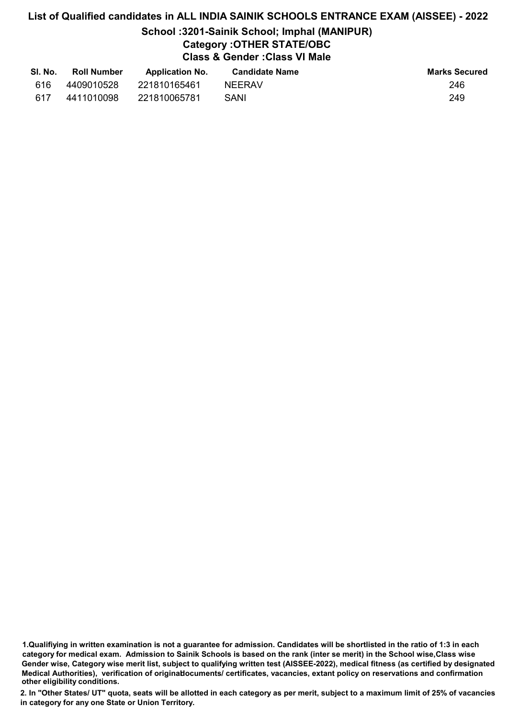## List of Qualified candidates in ALL INDIA SAINIK SCHOOLS ENTRANCE EXAM (AISSEE) - 2022 School :3201-Sainik School; Imphal (MANIPUR) Category :OTHER STATE/OBC Class & Gender :Class VI Male

| SI. No. | <b>Roll Number</b> | <b>Application No.</b> | Candidate Name | <b>Marks Secured</b> |
|---------|--------------------|------------------------|----------------|----------------------|
| 616     | 4409010528         | 221810165461           | <b>NFFRAV</b>  | 246                  |
| 617     | 4411010098         | 221810065781           | SANI           | 249                  |

<sup>1.</sup>Qualifiying in written examination is not a guarantee for admission. Candidates will be shortlisted in the ratio of 1:3 in each category for medical exam. Admission to Sainik Schools is based on the rank (inter se merit) in the School wise,Class wise Gender wise, Category wise merit list, subject to qualifying written test (AISSEE-2022), medical fitness (as certified by designated Medical Authorities), verification of originablocuments/ certificates, vacancies, extant policy on reservations and confirmation other eligibility conditions.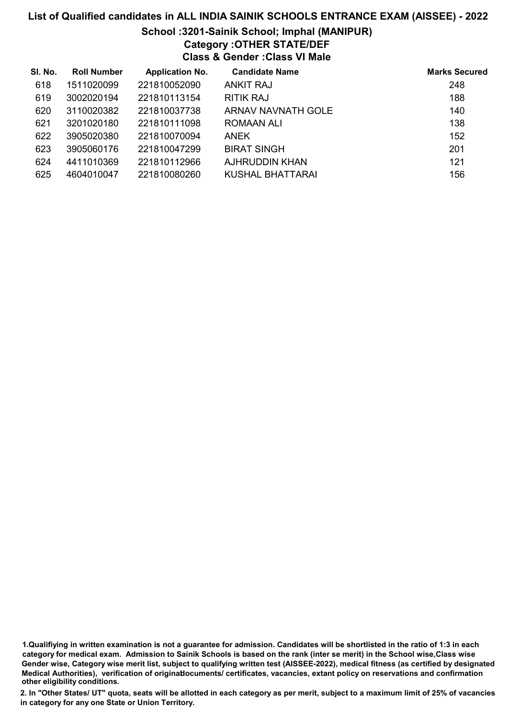## School :3201-Sainik School; Imphal (MANIPUR)

Category :OTHER STATE/DEF

Class & Gender :Class VI Male

| SI. No. | <b>Roll Number</b> | <b>Application No.</b> | <b>Candidate Name</b> | <b>Marks Secured</b> |
|---------|--------------------|------------------------|-----------------------|----------------------|
| 618     | 1511020099         | 221810052090           | <b>ANKIT RAJ</b>      | 248                  |
| 619     | 3002020194         | 221810113154           | <b>RITIK RAJ</b>      | 188                  |
| 620     | 3110020382         | 221810037738           | ARNAV NAVNATH GOLE    | 140                  |
| 621     | 3201020180         | 221810111098           | ROMAAN ALI            | 138                  |
| 622     | 3905020380         | 221810070094           | <b>ANEK</b>           | 152                  |
| 623     | 3905060176         | 221810047299           | <b>BIRAT SINGH</b>    | 201                  |
| 624     | 4411010369         | 221810112966           | AJHRUDDIN KHAN        | 121                  |
| 625     | 4604010047         | 221810080260           | KUSHAL BHATTARAI      | 156                  |

1.Qualifiying in written examination is not a guarantee for admission. Candidates will be shortlisted in the ratio of 1:3 in each category for medical exam. Admission to Sainik Schools is based on the rank (inter se merit) in the School wise,Class wise Gender wise, Category wise merit list, subject to qualifying written test (AISSEE-2022), medical fitness (as certified by designated Medical Authorities), verification of originablocuments/ certificates, vacancies, extant policy on reservations and confirmation other eligibility conditions.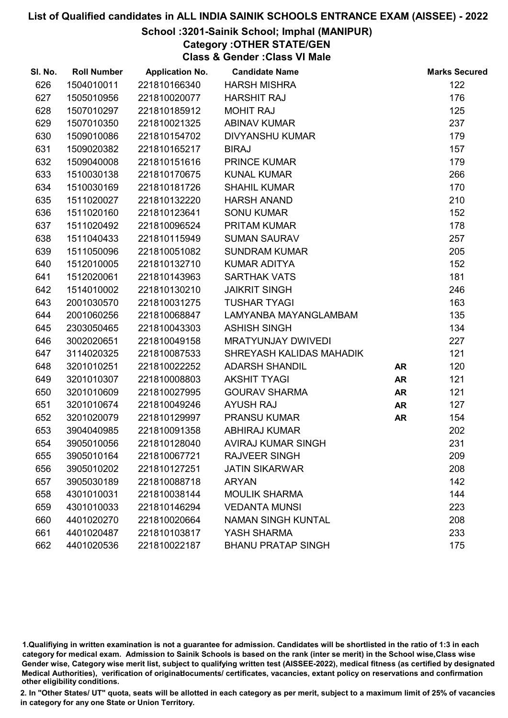#### School :3201-Sainik School; Imphal (MANIPUR)

Category :OTHER STATE/GEN Class & Gender :Class VI Male

| SI. No. | <b>Roll Number</b> | <b>Application No.</b> | <b>Candidate Name</b>     |           | <b>Marks Secured</b> |
|---------|--------------------|------------------------|---------------------------|-----------|----------------------|
| 626     | 1504010011         | 221810166340           | <b>HARSH MISHRA</b>       |           | 122                  |
| 627     | 1505010956         | 221810020077           | <b>HARSHIT RAJ</b>        |           | 176                  |
| 628     | 1507010297         | 221810185912           | <b>MOHIT RAJ</b>          |           | 125                  |
| 629     | 1507010350         | 221810021325           | <b>ABINAV KUMAR</b>       |           | 237                  |
| 630     | 1509010086         | 221810154702           | <b>DIVYANSHU KUMAR</b>    |           | 179                  |
| 631     | 1509020382         | 221810165217           | <b>BIRAJ</b>              |           | 157                  |
| 632     | 1509040008         | 221810151616           | <b>PRINCE KUMAR</b>       |           | 179                  |
| 633     | 1510030138         | 221810170675           | <b>KUNAL KUMAR</b>        |           | 266                  |
| 634     | 1510030169         | 221810181726           | <b>SHAHIL KUMAR</b>       |           | 170                  |
| 635     | 1511020027         | 221810132220           | <b>HARSH ANAND</b>        |           | 210                  |
| 636     | 1511020160         | 221810123641           | <b>SONU KUMAR</b>         |           | 152                  |
| 637     | 1511020492         | 221810096524           | PRITAM KUMAR              |           | 178                  |
| 638     | 1511040433         | 221810115949           | <b>SUMAN SAURAV</b>       |           | 257                  |
| 639     | 1511050096         | 221810051082           | <b>SUNDRAM KUMAR</b>      |           | 205                  |
| 640     | 1512010005         | 221810132710           | <b>KUMAR ADITYA</b>       |           | 152                  |
| 641     | 1512020061         | 221810143963           | <b>SARTHAK VATS</b>       |           | 181                  |
| 642     | 1514010002         | 221810130210           | <b>JAIKRIT SINGH</b>      |           | 246                  |
| 643     | 2001030570         | 221810031275           | <b>TUSHAR TYAGI</b>       |           | 163                  |
| 644     | 2001060256         | 221810068847           | LAMYANBA MAYANGLAMBAM     |           | 135                  |
| 645     | 2303050465         | 221810043303           | <b>ASHISH SINGH</b>       |           | 134                  |
| 646     | 3002020651         | 221810049158           | <b>MRATYUNJAY DWIVEDI</b> |           | 227                  |
| 647     | 3114020325         | 221810087533           | SHREYASH KALIDAS MAHADIK  |           | 121                  |
| 648     | 3201010251         | 221810022252           | <b>ADARSH SHANDIL</b>     | <b>AR</b> | 120                  |
| 649     | 3201010307         | 221810008803           | <b>AKSHIT TYAGI</b>       | <b>AR</b> | 121                  |
| 650     | 3201010609         | 221810027995           | <b>GOURAV SHARMA</b>      | <b>AR</b> | 121                  |
| 651     | 3201010674         | 221810049246           | <b>AYUSH RAJ</b>          | <b>AR</b> | 127                  |
| 652     | 3201020079         | 221810129997           | <b>PRANSU KUMAR</b>       | <b>AR</b> | 154                  |
| 653     | 3904040985         | 221810091358           | <b>ABHIRAJ KUMAR</b>      |           | 202                  |
| 654     | 3905010056         | 221810128040           | <b>AVIRAJ KUMAR SINGH</b> |           | 231                  |
| 655     | 3905010164         | 221810067721           | RAJVEER SINGH             |           | 209                  |
| 656     | 3905010202         | 221810127251           | <b>JATIN SIKARWAR</b>     |           | 208                  |
| 657     | 3905030189         | 221810088718           | <b>ARYAN</b>              |           | 142                  |
| 658     | 4301010031         | 221810038144           | <b>MOULIK SHARMA</b>      |           | 144                  |
| 659     | 4301010033         | 221810146294           | <b>VEDANTA MUNSI</b>      |           | 223                  |
| 660     | 4401020270         | 221810020664           | <b>NAMAN SINGH KUNTAL</b> |           | 208                  |
| 661     | 4401020487         | 221810103817           | YASH SHARMA               |           | 233                  |
| 662     | 4401020536         | 221810022187           | <b>BHANU PRATAP SINGH</b> |           | 175                  |

1.Qualifiying in written examination is not a guarantee for admission. Candidates will be shortlisted in the ratio of 1:3 in each category for medical exam. Admission to Sainik Schools is based on the rank (inter se merit) in the School wise,Class wise Gender wise, Category wise merit list, subject to qualifying written test (AISSEE-2022), medical fitness (as certified by designated Medical Authorities), verification of originablocuments/ certificates, vacancies, extant policy on reservations and confirmation other eligibility conditions.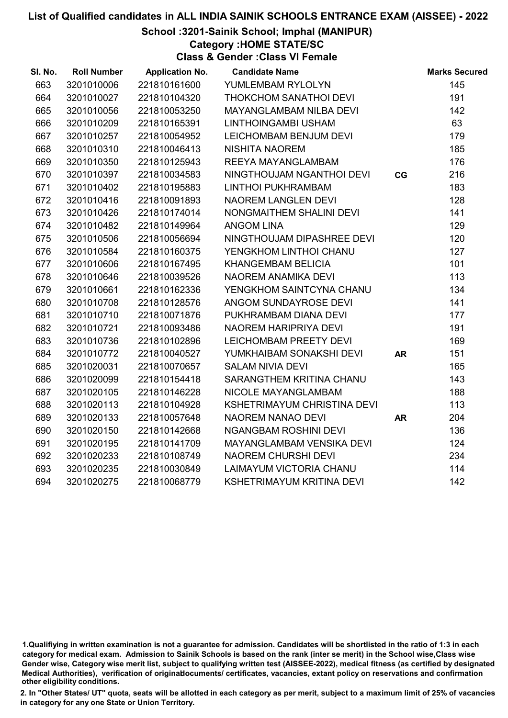School :3201-Sainik School; Imphal (MANIPUR)

Category :HOME STATE/SC

Class & Gender :Class VI Female

| SI. No. | <b>Roll Number</b> | <b>Application No.</b> | <b>Candidate Name</b>         |           | <b>Marks Secured</b> |
|---------|--------------------|------------------------|-------------------------------|-----------|----------------------|
| 663     | 3201010006         | 221810161600           | YUMLEMBAM RYLOLYN             |           | 145                  |
| 664     | 3201010027         | 221810104320           | THOKCHOM SANATHOI DEVI        |           | 191                  |
| 665     | 3201010056         | 221810053250           | MAYANGLAMBAM NILBA DEVI       |           | 142                  |
| 666     | 3201010209         | 221810165391           | LINTHOINGAMBI USHAM           |           | 63                   |
| 667     | 3201010257         | 221810054952           | LEICHOMBAM BENJUM DEVI        |           | 179                  |
| 668     | 3201010310         | 221810046413           | <b>NISHITA NAOREM</b>         |           | 185                  |
| 669     | 3201010350         | 221810125943           | REEYA MAYANGLAMBAM            |           | 176                  |
| 670     | 3201010397         | 221810034583           | NINGTHOUJAM NGANTHOI DEVI     | CG        | 216                  |
| 671     | 3201010402         | 221810195883           | <b>LINTHOI PUKHRAMBAM</b>     |           | 183                  |
| 672     | 3201010416         | 221810091893           | <b>NAOREM LANGLEN DEVI</b>    |           | 128                  |
| 673     | 3201010426         | 221810174014           | NONGMAITHEM SHALINI DEVI      |           | 141                  |
| 674     | 3201010482         | 221810149964           | <b>ANGOM LINA</b>             |           | 129                  |
| 675     | 3201010506         | 221810056694           | NINGTHOUJAM DIPASHREE DEVI    |           | 120                  |
| 676     | 3201010584         | 221810160375           | YENGKHOM LINTHOI CHANU        |           | 127                  |
| 677     | 3201010606         | 221810167495           | <b>KHANGEMBAM BELICIA</b>     |           | 101                  |
| 678     | 3201010646         | 221810039526           | NAOREM ANAMIKA DEVI           |           | 113                  |
| 679     | 3201010661         | 221810162336           | YENGKHOM SAINTCYNA CHANU      |           | 134                  |
| 680     | 3201010708         | 221810128576           | ANGOM SUNDAYROSE DEVI         |           | 141                  |
| 681     | 3201010710         | 221810071876           | PUKHRAMBAM DIANA DEVI         |           | 177                  |
| 682     | 3201010721         | 221810093486           | NAOREM HARIPRIYA DEVI         |           | 191                  |
| 683     | 3201010736         | 221810102896           | <b>LEICHOMBAM PREETY DEVI</b> |           | 169                  |
| 684     | 3201010772         | 221810040527           | YUMKHAIBAM SONAKSHI DEVI      | <b>AR</b> | 151                  |
| 685     | 3201020031         | 221810070657           | <b>SALAM NIVIA DEVI</b>       |           | 165                  |
| 686     | 3201020099         | 221810154418           | SARANGTHEM KRITINA CHANU      |           | 143                  |
| 687     | 3201020105         | 221810146228           | NICOLE MAYANGLAMBAM           |           | 188                  |
| 688     | 3201020113         | 221810104928           | KSHETRIMAYUM CHRISTINA DEVI   |           | 113                  |
| 689     | 3201020133         | 221810057648           | NAOREM NANAO DEVI             | <b>AR</b> | 204                  |
| 690     | 3201020150         | 221810142668           | <b>NGANGBAM ROSHINI DEVI</b>  |           | 136                  |
| 691     | 3201020195         | 221810141709           | MAYANGLAMBAM VENSIKA DEVI     |           | 124                  |
| 692     | 3201020233         | 221810108749           | <b>NAOREM CHURSHI DEVI</b>    |           | 234                  |
| 693     | 3201020235         | 221810030849           | LAIMAYUM VICTORIA CHANU       |           | 114                  |
| 694     | 3201020275         | 221810068779           | KSHETRIMAYUM KRITINA DEVI     |           | 142                  |
|         |                    |                        |                               |           |                      |

<sup>1.</sup>Qualifiying in written examination is not a guarantee for admission. Candidates will be shortlisted in the ratio of 1:3 in each category for medical exam. Admission to Sainik Schools is based on the rank (inter se merit) in the School wise,Class wise Gender wise, Category wise merit list, subject to qualifying written test (AISSEE-2022), medical fitness (as certified by designated Medical Authorities), verification of originablocuments/ certificates, vacancies, extant policy on reservations and confirmation other eligibility conditions.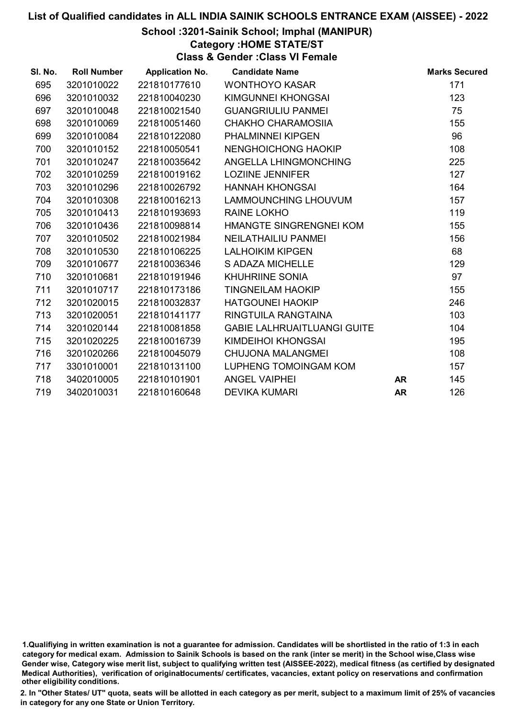#### School :3201-Sainik School; Imphal (MANIPUR)

Category :HOME STATE/ST

Class & Gender :Class VI Female

| SI. No. | <b>Roll Number</b> | <b>Application No.</b> | <b>Candidate Name</b>              |           | <b>Marks Secured</b> |
|---------|--------------------|------------------------|------------------------------------|-----------|----------------------|
| 695     | 3201010022         | 221810177610           | <b>WONTHOYO KASAR</b>              |           | 171                  |
| 696     | 3201010032         | 221810040230           | KIMGUNNEI KHONGSAI                 |           | 123                  |
| 697     | 3201010048         | 221810021540           | <b>GUANGRIULIU PANMEI</b>          |           | 75                   |
| 698     | 3201010069         | 221810051460           | CHAKHO CHARAMOSIIA                 |           | 155                  |
| 699     | 3201010084         | 221810122080           | <b>PHALMINNEI KIPGEN</b>           |           | 96                   |
| 700     | 3201010152         | 221810050541           | NENGHOICHONG HAOKIP                |           | 108                  |
| 701     | 3201010247         | 221810035642           | ANGELLA LHINGMONCHING              |           | 225                  |
| 702     | 3201010259         | 221810019162           | <b>LOZIINE JENNIFER</b>            |           | 127                  |
| 703     | 3201010296         | 221810026792           | <b>HANNAH KHONGSAI</b>             |           | 164                  |
| 704     | 3201010308         | 221810016213           | LAMMOUNCHING LHOUVUM               |           | 157                  |
| 705     | 3201010413         | 221810193693           | <b>RAINE LOKHO</b>                 |           | 119                  |
| 706     | 3201010436         | 221810098814           | HMANGTE SINGRENGNEI KOM            |           | 155                  |
| 707     | 3201010502         | 221810021984           | NEILATHAILIU PANMEI                |           | 156                  |
| 708     | 3201010530         | 221810106225           | <b>LALHOIKIM KIPGEN</b>            |           | 68                   |
| 709     | 3201010677         | 221810036346           | S ADAZA MICHELLE                   |           | 129                  |
| 710     | 3201010681         | 221810191946           | <b>KHUHRIINE SONIA</b>             |           | 97                   |
| 711     | 3201010717         | 221810173186           | <b>TINGNEILAM HAOKIP</b>           |           | 155                  |
| 712     | 3201020015         | 221810032837           | <b>HATGOUNEI HAOKIP</b>            |           | 246                  |
| 713     | 3201020051         | 221810141177           | RINGTUILA RANGTAINA                |           | 103                  |
| 714     | 3201020144         | 221810081858           | <b>GABIE LALHRUAITLUANGI GUITE</b> |           | 104                  |
| 715     | 3201020225         | 221810016739           | KIMDEIHOI KHONGSAI                 |           | 195                  |
| 716     | 3201020266         | 221810045079           | <b>CHUJONA MALANGMEI</b>           |           | 108                  |
| 717     | 3301010001         | 221810131100           | LUPHENG TOMOINGAM KOM              |           | 157                  |
| 718     | 3402010005         | 221810101901           | <b>ANGEL VAIPHEI</b>               | <b>AR</b> | 145                  |
| 719     | 3402010031         | 221810160648           | <b>DEVIKA KUMARI</b>               | <b>AR</b> | 126                  |

1.Qualifiying in written examination is not a guarantee for admission. Candidates will be shortlisted in the ratio of 1:3 in each category for medical exam. Admission to Sainik Schools is based on the rank (inter se merit) in the School wise,Class wise Gender wise, Category wise merit list, subject to qualifying written test (AISSEE-2022), medical fitness (as certified by designated Medical Authorities), verification of originablocuments/ certificates, vacancies, extant policy on reservations and confirmation other eligibility conditions.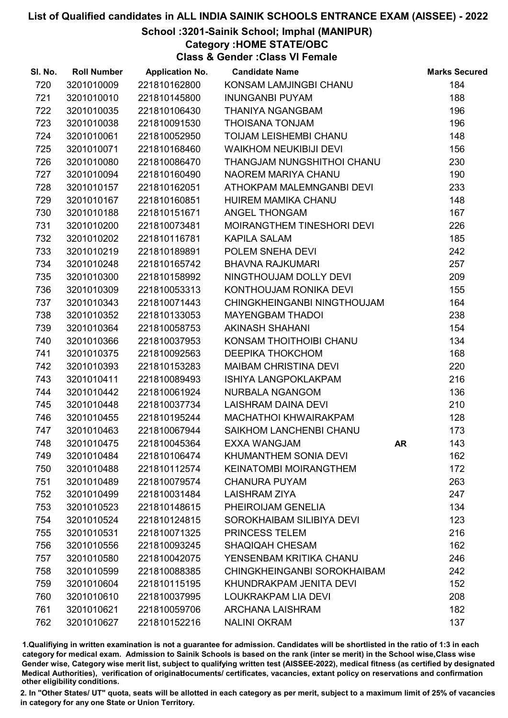School :3201-Sainik School; Imphal (MANIPUR)

Category :HOME STATE/OBC

Class & Gender :Class VI Female

| SI. No. | <b>Roll Number</b> | <b>Application No.</b> | <b>Candidate Name</b>         |    | <b>Marks Secured</b> |
|---------|--------------------|------------------------|-------------------------------|----|----------------------|
| 720     | 3201010009         | 221810162800           | KONSAM LAMJINGBI CHANU        |    | 184                  |
| 721     | 3201010010         | 221810145800           | <b>INUNGANBI PUYAM</b>        |    | 188                  |
| 722     | 3201010035         | 221810106430           | <b>THANIYA NGANGBAM</b>       |    | 196                  |
| 723     | 3201010038         | 221810091530           | <b>THOISANA TONJAM</b>        |    | 196                  |
| 724     | 3201010061         | 221810052950           | TOIJAM LEISHEMBI CHANU        |    | 148                  |
| 725     | 3201010071         | 221810168460           | <b>WAIKHOM NEUKIBIJI DEVI</b> |    | 156                  |
| 726     | 3201010080         | 221810086470           | THANGJAM NUNGSHITHOI CHANU    |    | 230                  |
| 727     | 3201010094         | 221810160490           | NAOREM MARIYA CHANU           |    | 190                  |
| 728     | 3201010157         | 221810162051           | ATHOKPAM MALEMNGANBI DEVI     |    | 233                  |
| 729     | 3201010167         | 221810160851           | <b>HUIREM MAMIKA CHANU</b>    |    | 148                  |
| 730     | 3201010188         | 221810151671           | ANGEL THONGAM                 |    | 167                  |
| 731     | 3201010200         | 221810073481           | MOIRANGTHEM TINESHORI DEVI    |    | 226                  |
| 732     | 3201010202         | 221810116781           | <b>KAPILA SALAM</b>           |    | 185                  |
| 733     | 3201010219         | 221810189891           | POLEM SNEHA DEVI              |    | 242                  |
| 734     | 3201010248         | 221810165742           | <b>BHAVNA RAJKUMARI</b>       |    | 257                  |
| 735     | 3201010300         | 221810158992           | NINGTHOUJAM DOLLY DEVI        |    | 209                  |
| 736     | 3201010309         | 221810053313           | KONTHOUJAM RONIKA DEVI        |    | 155                  |
| 737     | 3201010343         | 221810071443           | CHINGKHEINGANBI NINGTHOUJAM   |    | 164                  |
| 738     | 3201010352         | 221810133053           | <b>MAYENGBAM THADOI</b>       |    | 238                  |
| 739     | 3201010364         | 221810058753           | <b>AKINASH SHAHANI</b>        |    | 154                  |
| 740     | 3201010366         | 221810037953           | KONSAM THOITHOIBI CHANU       |    | 134                  |
| 741     | 3201010375         | 221810092563           | <b>DEEPIKA THOKCHOM</b>       |    | 168                  |
| 742     | 3201010393         | 221810153283           | <b>MAIBAM CHRISTINA DEVI</b>  |    | 220                  |
| 743     | 3201010411         | 221810089493           | <b>ISHIYA LANGPOKLAKPAM</b>   |    | 216                  |
| 744     | 3201010442         | 221810061924           | NURBALA NGANGOM               |    | 136                  |
| 745     | 3201010448         | 221810037734           | <b>LAISHRAM DAINA DEVI</b>    |    | 210                  |
| 746     | 3201010455         | 221810195244           | MACHATHOI KHWAIRAKPAM         |    | 128                  |
| 747     | 3201010463         | 221810067944           | SAIKHOM LANCHENBI CHANU       |    | 173                  |
| 748     | 3201010475         | 221810045364           | <b>EXXA WANGJAM</b>           | AR | 143                  |
| 749     | 3201010484         | 221810106474           | KHUMANTHEM SONIA DEVI         |    | 162                  |
| 750     | 3201010488         | 221810112574           | <b>KEINATOMBI MOIRANGTHEM</b> |    | 172                  |
| 751     | 3201010489         | 221810079574           | <b>CHANURA PUYAM</b>          |    | 263                  |
| 752     | 3201010499         | 221810031484           | <b>LAISHRAM ZIYA</b>          |    | 247                  |
| 753     | 3201010523         | 221810148615           | PHEIROIJAM GENELIA            |    | 134                  |
| 754     | 3201010524         | 221810124815           | SOROKHAIBAM SILIBIYA DEVI     |    | 123                  |
| 755     | 3201010531         | 221810071325           | PRINCESS TELEM                |    | 216                  |
| 756     | 3201010556         | 221810093245           | <b>SHAQIQAH CHESAM</b>        |    | 162                  |
| 757     | 3201010580         | 221810042075           | YENSENBAM KRITIKA CHANU       |    | 246                  |
| 758     | 3201010599         | 221810088385           | CHINGKHEINGANBI SOROKHAIBAM   |    | 242                  |
| 759     | 3201010604         | 221810115195           | KHUNDRAKPAM JENITA DEVI       |    | 152                  |
| 760     | 3201010610         | 221810037995           | LOUKRAKPAM LIA DEVI           |    | 208                  |
| 761     | 3201010621         | 221810059706           | <b>ARCHANA LAISHRAM</b>       |    | 182                  |
| 762     | 3201010627         | 221810152216           | <b>NALINI OKRAM</b>           |    | 137                  |

1.Qualifiying in written examination is not a guarantee for admission. Candidates will be shortlisted in the ratio of 1:3 in each category for medical exam. Admission to Sainik Schools is based on the rank (inter se merit) in the School wise,Class wise Gender wise, Category wise merit list, subject to qualifying written test (AISSEE-2022), medical fitness (as certified by designated Medical Authorities), verification of originablocuments/ certificates, vacancies, extant policy on reservations and confirmation other eligibility conditions.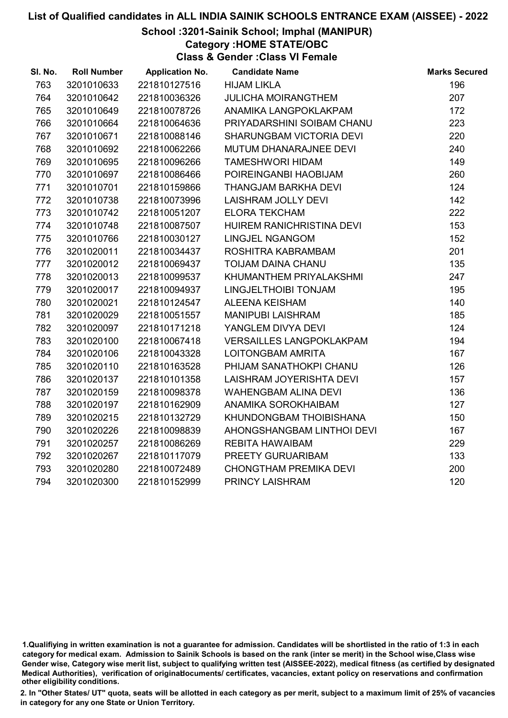School :3201-Sainik School; Imphal (MANIPUR)

Category :HOME STATE/OBC

Class & Gender :Class VI Female

| SI. No. | <b>Roll Number</b> | <b>Application No.</b> | <b>Candidate Name</b>           | <b>Marks Secured</b> |
|---------|--------------------|------------------------|---------------------------------|----------------------|
| 763     | 3201010633         | 221810127516           | <b>HIJAM LIKLA</b>              | 196                  |
| 764     | 3201010642         | 221810036326           | <b>JULICHA MOIRANGTHEM</b>      | 207                  |
| 765     | 3201010649         | 221810078726           | ANAMIKA LANGPOKLAKPAM           | 172                  |
| 766     | 3201010664         | 221810064636           | PRIYADARSHINI SOIBAM CHANU      | 223                  |
| 767     | 3201010671         | 221810088146           | SHARUNGBAM VICTORIA DEVI        | 220                  |
| 768     | 3201010692         | 221810062266           | MUTUM DHANARAJNEE DEVI          | 240                  |
| 769     | 3201010695         | 221810096266           | <b>TAMESHWORI HIDAM</b>         | 149                  |
| 770     | 3201010697         | 221810086466           | POIREINGANBI HAOBIJAM           | 260                  |
| 771     | 3201010701         | 221810159866           | <b>THANGJAM BARKHA DEVI</b>     | 124                  |
| 772     | 3201010738         | 221810073996           | LAISHRAM JOLLY DEVI             | 142                  |
| 773     | 3201010742         | 221810051207           | <b>ELORA TEKCHAM</b>            | 222                  |
| 774     | 3201010748         | 221810087507           | HUIREM RANICHRISTINA DEVI       | 153                  |
| 775     | 3201010766         | 221810030127           | <b>LINGJEL NGANGOM</b>          | 152                  |
| 776     | 3201020011         | 221810034437           | ROSHITRA KABRAMBAM              | 201                  |
| 777     | 3201020012         | 221810069437           | TOIJAM DAINA CHANU              | 135                  |
| 778     | 3201020013         | 221810099537           | KHUMANTHEM PRIYALAKSHMI         | 247                  |
| 779     | 3201020017         | 221810094937           | LINGJELTHOIBI TONJAM            | 195                  |
| 780     | 3201020021         | 221810124547           | <b>ALEENA KEISHAM</b>           | 140                  |
| 781     | 3201020029         | 221810051557           | <b>MANIPUBI LAISHRAM</b>        | 185                  |
| 782     | 3201020097         | 221810171218           | YANGLEM DIVYA DEVI              | 124                  |
| 783     | 3201020100         | 221810067418           | <b>VERSAILLES LANGPOKLAKPAM</b> | 194                  |
| 784     | 3201020106         | 221810043328           | LOITONGBAM AMRITA               | 167                  |
| 785     | 3201020110         | 221810163528           | PHIJAM SANATHOKPI CHANU         | 126                  |
| 786     | 3201020137         | 221810101358           | LAISHRAM JOYERISHTA DEVI        | 157                  |
| 787     | 3201020159         | 221810098378           | <b>WAHENGBAM ALINA DEVI</b>     | 136                  |
| 788     | 3201020197         | 221810162909           | ANAMIKA SOROKHAIBAM             | 127                  |
| 789     | 3201020215         | 221810132729           | KHUNDONGBAM THOIBISHANA         | 150                  |
| 790     | 3201020226         | 221810098839           | AHONGSHANGBAM LINTHOI DEVI      | 167                  |
| 791     | 3201020257         | 221810086269           | REBITA HAWAIBAM                 | 229                  |
| 792     | 3201020267         | 221810117079           | PREETY GURUARIBAM               | 133                  |
| 793     | 3201020280         | 221810072489           | <b>CHONGTHAM PREMIKA DEVI</b>   | 200                  |
| 794     | 3201020300         | 221810152999           | PRINCY LAISHRAM                 | 120                  |
|         |                    |                        |                                 |                      |

<sup>1.</sup>Qualifiying in written examination is not a guarantee for admission. Candidates will be shortlisted in the ratio of 1:3 in each category for medical exam. Admission to Sainik Schools is based on the rank (inter se merit) in the School wise,Class wise Gender wise, Category wise merit list, subject to qualifying written test (AISSEE-2022), medical fitness (as certified by designated Medical Authorities), verification of originablocuments/ certificates, vacancies, extant policy on reservations and confirmation other eligibility conditions.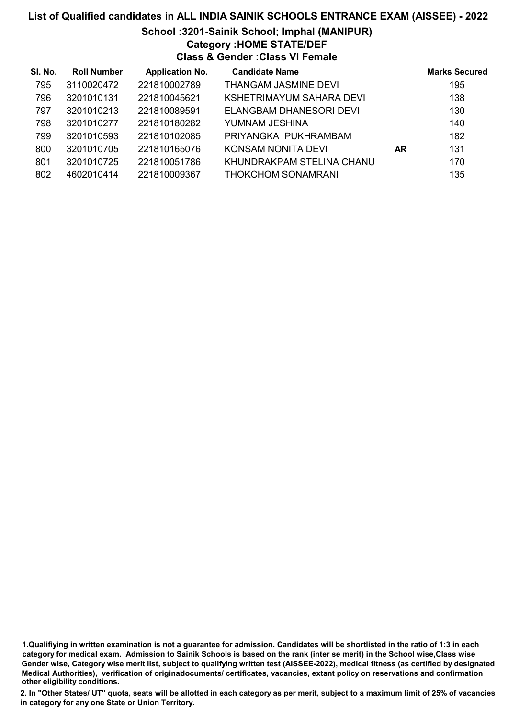#### School :3201-Sainik School; Imphal (MANIPUR) Category :HOME STATE/DEF

Class & Gender :Class VI Female

| SI. No. | <b>Roll Number</b> | <b>Application No.</b> | <b>Candidate Name</b>     |    | <b>Marks Secured</b> |
|---------|--------------------|------------------------|---------------------------|----|----------------------|
| 795     | 3110020472         | 221810002789           | THANGAM JASMINE DEVI      |    | 195                  |
| 796     | 3201010131         | 221810045621           | KSHETRIMAYUM SAHARA DEVI  |    | 138                  |
| 797     | 3201010213         | 221810089591           | ELANGBAM DHANESORI DEVI   |    | 130                  |
| 798     | 3201010277         | 221810180282           | YUMNAM JESHINA            |    | 140                  |
| 799     | 3201010593         | 221810102085           | PRIYANGKA PUKHRAMBAM      |    | 182                  |
| 800     | 3201010705         | 221810165076           | KONSAM NONITA DEVI        | AR | 131                  |
| 801     | 3201010725         | 221810051786           | KHUNDRAKPAM STELINA CHANU |    | 170                  |
| 802     | 4602010414         | 221810009367           | <b>THOKCHOM SONAMRANI</b> |    | 135                  |

1.Qualifiying in written examination is not a guarantee for admission. Candidates will be shortlisted in the ratio of 1:3 in each category for medical exam. Admission to Sainik Schools is based on the rank (inter se merit) in the School wise,Class wise Gender wise, Category wise merit list, subject to qualifying written test (AISSEE-2022), medical fitness (as certified by designated Medical Authorities), verification of originablocuments/ certificates, vacancies, extant policy on reservations and confirmation other eligibility conditions.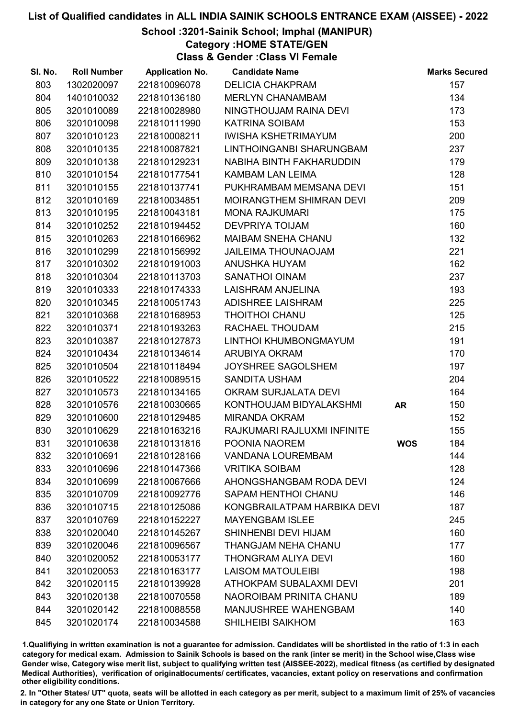### School :3201-Sainik School; Imphal (MANIPUR)

Category :HOME STATE/GEN

Class & Gender :Class VI Female

| SI. No. | <b>Roll Number</b> | <b>Application No.</b> | <b>Candidate Name</b>       |            | <b>Marks Secured</b> |
|---------|--------------------|------------------------|-----------------------------|------------|----------------------|
| 803     | 1302020097         | 221810096078           | <b>DELICIA CHAKPRAM</b>     |            | 157                  |
| 804     | 1401010032         | 221810136180           | <b>MERLYN CHANAMBAM</b>     |            | 134                  |
| 805     | 3201010089         | 221810028980           | NINGTHOUJAM RAINA DEVI      |            | 173                  |
| 806     | 3201010098         | 221810111990           | <b>KATRINA SOIBAM</b>       |            | 153                  |
| 807     | 3201010123         | 221810008211           | <b>IWISHA KSHETRIMAYUM</b>  |            | 200                  |
| 808     | 3201010135         | 221810087821           | LINTHOINGANBI SHARUNGBAM    |            | 237                  |
| 809     | 3201010138         | 221810129231           | NABIHA BINTH FAKHARUDDIN    |            | 179                  |
| 810     | 3201010154         | 221810177541           | KAMBAM LAN LEIMA            |            | 128                  |
| 811     | 3201010155         | 221810137741           | PUKHRAMBAM MEMSANA DEVI     |            | 151                  |
| 812     | 3201010169         | 221810034851           | MOIRANGTHEM SHIMRAN DEVI    |            | 209                  |
| 813     | 3201010195         | 221810043181           | <b>MONA RAJKUMARI</b>       |            | 175                  |
| 814     | 3201010252         | 221810194452           | <b>DEVPRIYA TOIJAM</b>      |            | 160                  |
| 815     | 3201010263         | 221810166962           | MAIBAM SNEHA CHANU          |            | 132                  |
| 816     | 3201010299         | 221810156992           | <b>JAILEIMA THOUNAOJAM</b>  |            | 221                  |
| 817     | 3201010302         | 221810191003           | ANUSHKA HUYAM               |            | 162                  |
| 818     | 3201010304         | 221810113703           | <b>SANATHOI OINAM</b>       |            | 237                  |
| 819     | 3201010333         | 221810174333           | LAISHRAM ANJELINA           |            | 193                  |
| 820     | 3201010345         | 221810051743           | <b>ADISHREE LAISHRAM</b>    |            | 225                  |
| 821     | 3201010368         | 221810168953           | <b>THOITHOI CHANU</b>       |            | 125                  |
| 822     | 3201010371         | 221810193263           | RACHAEL THOUDAM             |            | 215                  |
| 823     | 3201010387         | 221810127873           | LINTHOI KHUMBONGMAYUM       |            | 191                  |
| 824     | 3201010434         | 221810134614           | <b>ARUBIYA OKRAM</b>        |            | 170                  |
| 825     | 3201010504         | 221810118494           | <b>JOYSHREE SAGOLSHEM</b>   |            | 197                  |
| 826     | 3201010522         | 221810089515           | <b>SANDITA USHAM</b>        |            | 204                  |
| 827     | 3201010573         | 221810134165           | OKRAM SURJALATA DEVI        |            | 164                  |
| 828     | 3201010576         | 221810030665           | KONTHOUJAM BIDYALAKSHMI     | <b>AR</b>  | 150                  |
| 829     | 3201010600         | 221810129485           | <b>MIRANDA OKRAM</b>        |            | 152                  |
| 830     | 3201010629         | 221810163216           | RAJKUMARI RAJLUXMI INFINITE |            | 155                  |
| 831     | 3201010638         | 221810131816           | POONIA NAOREM               | <b>WOS</b> | 184                  |
| 832     | 3201010691         | 221810128166           | <b>VANDANA LOUREMBAM</b>    |            | 144                  |
| 833     | 3201010696         | 221810147366           | <b>VRITIKA SOIBAM</b>       |            | 128                  |
| 834     | 3201010699         | 221810067666           | AHONGSHANGBAM RODA DEVI     |            | 124                  |
| 835     | 3201010709         | 221810092776           | SAPAM HENTHOI CHANU         |            | 146                  |
| 836     | 3201010715         | 221810125086           | KONGBRAILATPAM HARBIKA DEVI |            | 187                  |
| 837     | 3201010769         | 221810152227           | <b>MAYENGBAM ISLEE</b>      |            | 245                  |
| 838     | 3201020040         | 221810145267           | SHINHENBI DEVI HIJAM        |            | 160                  |
| 839     | 3201020046         | 221810096567           | THANGJAM NEHA CHANU         |            | 177                  |
| 840     | 3201020052         | 221810053177           | THONGRAM ALIYA DEVI         |            | 160                  |
| 841     | 3201020053         | 221810163177           | <b>LAISOM MATOULEIBI</b>    |            | 198                  |
| 842     | 3201020115         | 221810139928           | ATHOKPAM SUBALAXMI DEVI     |            | 201                  |
| 843     | 3201020138         | 221810070558           | NAOROIBAM PRINITA CHANU     |            | 189                  |
| 844     | 3201020142         | 221810088558           | MANJUSHREE WAHENGBAM        |            | 140                  |
| 845     | 3201020174         | 221810034588           | <b>SHILHEIBI SAIKHOM</b>    |            | 163                  |

1.Qualifiying in written examination is not a guarantee for admission. Candidates will be shortlisted in the ratio of 1:3 in each category for medical exam. Admission to Sainik Schools is based on the rank (inter se merit) in the School wise,Class wise Gender wise, Category wise merit list, subject to qualifying written test (AISSEE-2022), medical fitness (as certified by designated Medical Authorities), verification of originablocuments/ certificates, vacancies, extant policy on reservations and confirmation other eligibility conditions.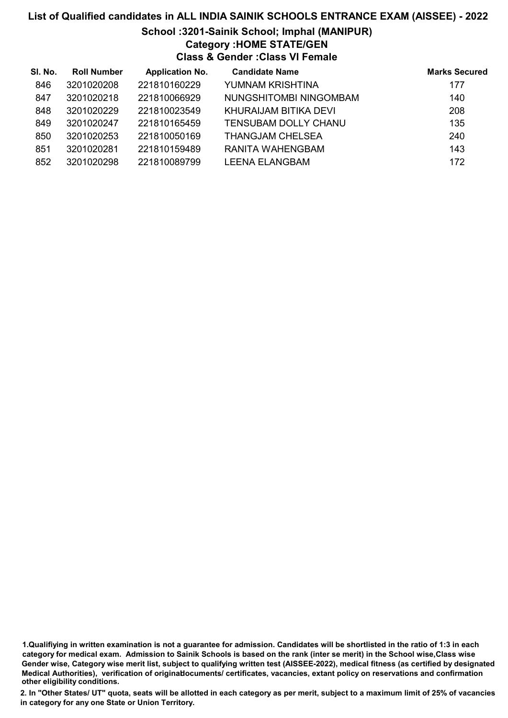#### School :3201-Sainik School; Imphal (MANIPUR) Category :HOME STATE/GEN

Class & Gender :Class VI Female

| SI. No. | <b>Roll Number</b> | <b>Application No.</b> | <b>Candidate Name</b>       | <b>Marks Secured</b> |
|---------|--------------------|------------------------|-----------------------------|----------------------|
| 846     | 3201020208         | 221810160229           | YUMNAM KRISHTINA            | 177                  |
| 847     | 3201020218         | 221810066929           | NUNGSHITOMBI NINGOMBAM      | 140                  |
| 848     | 3201020229         | 221810023549           | KHURAIJAM BITIKA DEVI       | 208                  |
| 849     | 3201020247         | 221810165459           | <b>TENSUBAM DOLLY CHANU</b> | 135                  |
| 850     | 3201020253         | 221810050169           | <b>THANGJAM CHELSEA</b>     | 240                  |
| 851     | 3201020281         | 221810159489           | RANITA WAHENGBAM            | 143                  |
| 852     | 3201020298         | 221810089799           | <b>LEENA ELANGBAM</b>       | 172                  |

1.Qualifiying in written examination is not a guarantee for admission. Candidates will be shortlisted in the ratio of 1:3 in each category for medical exam. Admission to Sainik Schools is based on the rank (inter se merit) in the School wise,Class wise Gender wise, Category wise merit list, subject to qualifying written test (AISSEE-2022), medical fitness (as certified by designated Medical Authorities), verification of originablocuments/ certificates, vacancies, extant policy on reservations and confirmation other eligibility conditions.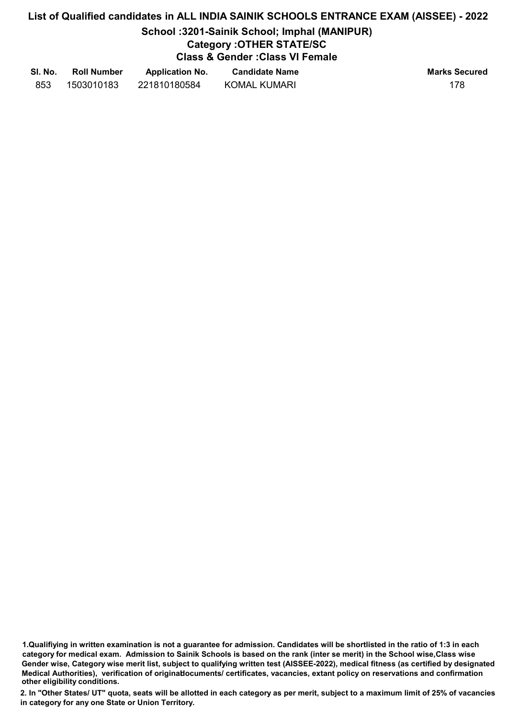## School :3201-Sainik School; Imphal (MANIPUR)

## Category :OTHER STATE/SC

Class & Gender :Class VI Female

| SI. No. | <b>Roll Number</b> | <b>Application No.</b> | <b>Candidate Name</b> | <b>Marks Secured</b> |
|---------|--------------------|------------------------|-----------------------|----------------------|
| 853     | 1503010183         | 221810180584           | <b>KOMAL KUMARI</b>   |                      |

1.Qualifiying in written examination is not a guarantee for admission. Candidates will be shortlisted in the ratio of 1:3 in each category for medical exam. Admission to Sainik Schools is based on the rank (inter se merit) in the School wise,Class wise Gender wise, Category wise merit list, subject to qualifying written test (AISSEE-2022), medical fitness (as certified by designated Medical Authorities), verification of originablocuments/ certificates, vacancies, extant policy on reservations and confirmation other eligibility conditions.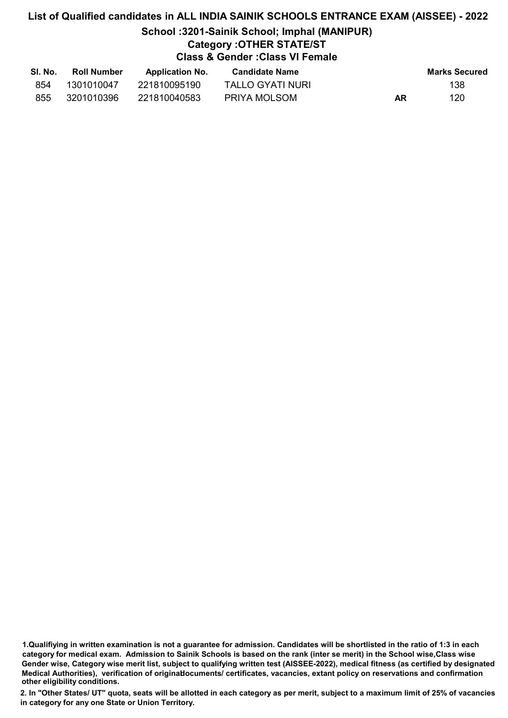## School :3201-Sainik School; Imphal (MANIPUR)

## Category :OTHER STATE/ST

## Class & Gender :Class VI Female

| SI. No. | <b>Roll Number</b> | <b>Application No.</b> | <b>Candidate Name</b> |    | <b>Marks Secured</b> |
|---------|--------------------|------------------------|-----------------------|----|----------------------|
| 854     | 1301010047         | 221810095190           | TALLO GYATI NURI      |    | 138                  |
| 855     | 3201010396         | 221810040583           | PRIYA MOLSOM          | AR | 120                  |

1.Qualifiying in written examination is not a guarantee for admission. Candidates will be shortlisted in the ratio of 1:3 in each category for medical exam. Admission to Sainik Schools is based on the rank (inter se merit) in the School wise,Class wise Gender wise, Category wise merit list, subject to qualifying written test (AISSEE-2022), medical fitness (as certified by designated Medical Authorities), verification of originablocuments/ certificates, vacancies, extant policy on reservations and confirmation other eligibility conditions.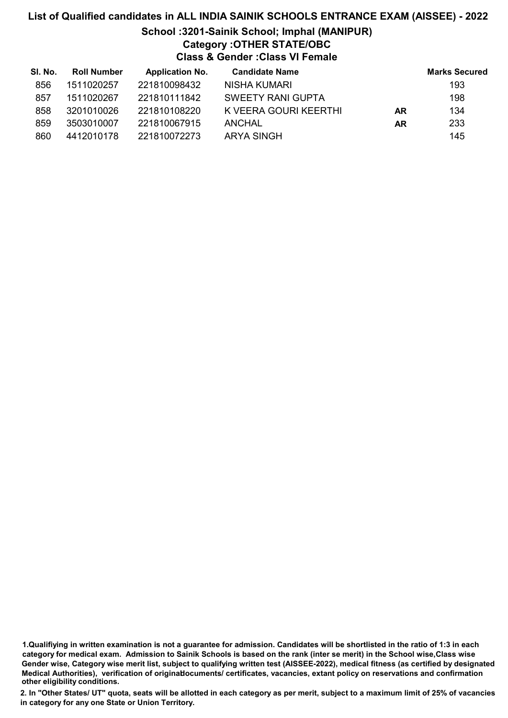## School :3201-Sainik School; Imphal (MANIPUR) Category :OTHER STATE/OBC

Class & Gender :Class VI Female

| SI. No. | <b>Roll Number</b> | <b>Application No.</b> | <b>Candidate Name</b>    |           | <b>Marks Secured</b> |
|---------|--------------------|------------------------|--------------------------|-----------|----------------------|
| 856     | 1511020257         | 221810098432           | NISHA KUMARI             |           | 193                  |
| 857     | 1511020267         | 221810111842           | <b>SWEETY RANI GUPTA</b> |           | 198                  |
| 858     | 3201010026         | 221810108220           | K VEERA GOURI KEERTHI    | <b>AR</b> | 134                  |
| 859     | 3503010007         | 221810067915           | ANCHAL                   | AR        | 233                  |
| 860     | 4412010178         | 221810072273           | <b>ARYA SINGH</b>        |           | 145                  |

1.Qualifiying in written examination is not a guarantee for admission. Candidates will be shortlisted in the ratio of 1:3 in each category for medical exam. Admission to Sainik Schools is based on the rank (inter se merit) in the School wise,Class wise Gender wise, Category wise merit list, subject to qualifying written test (AISSEE-2022), medical fitness (as certified by designated Medical Authorities), verification of originablocuments/ certificates, vacancies, extant policy on reservations and confirmation other eligibility conditions.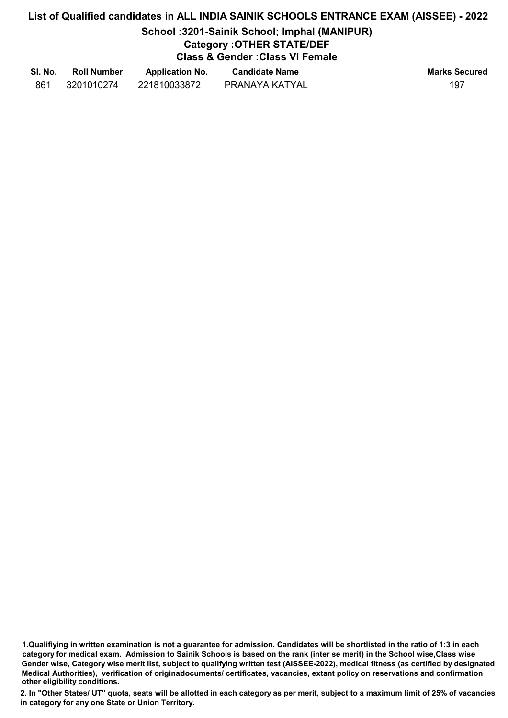## School :3201-Sainik School; Imphal (MANIPUR)

## Category :OTHER STATE/DEF

Class & Gender :Class VI Female

| SI. No. | <b>Roll Number</b> | <b>Application No.</b> | <b>Candidate Name</b> | <b>Marks Secured</b> |
|---------|--------------------|------------------------|-----------------------|----------------------|
| 861     | 3201010274         | 221810033872           | PRANAYA KATYAL        | 197                  |

1.Qualifiying in written examination is not a guarantee for admission. Candidates will be shortlisted in the ratio of 1:3 in each category for medical exam. Admission to Sainik Schools is based on the rank (inter se merit) in the School wise,Class wise Gender wise, Category wise merit list, subject to qualifying written test (AISSEE-2022), medical fitness (as certified by designated Medical Authorities), verification of originablocuments/ certificates, vacancies, extant policy on reservations and confirmation other eligibility conditions.